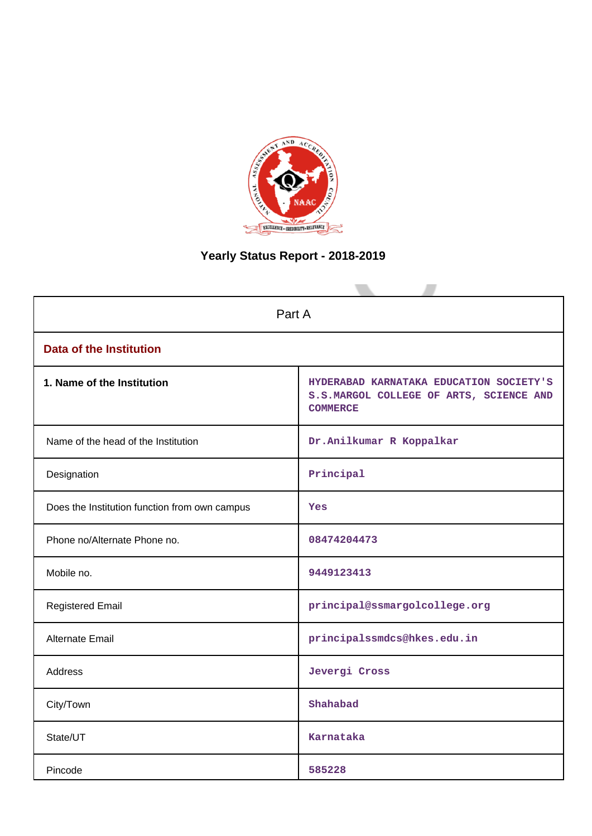

# **Yearly Status Report - 2018-2019**

| Part A                                        |                                                                                                       |  |  |  |  |
|-----------------------------------------------|-------------------------------------------------------------------------------------------------------|--|--|--|--|
| <b>Data of the Institution</b>                |                                                                                                       |  |  |  |  |
| 1. Name of the Institution                    | HYDERABAD KARNATAKA EDUCATION SOCIETY'S<br>S.S.MARGOL COLLEGE OF ARTS, SCIENCE AND<br><b>COMMERCE</b> |  |  |  |  |
| Name of the head of the Institution           | Dr.Anilkumar R Koppalkar                                                                              |  |  |  |  |
| Designation                                   | Principal                                                                                             |  |  |  |  |
| Does the Institution function from own campus | Yes                                                                                                   |  |  |  |  |
| Phone no/Alternate Phone no.                  | 08474204473                                                                                           |  |  |  |  |
| Mobile no.                                    | 9449123413                                                                                            |  |  |  |  |
| <b>Registered Email</b>                       | principal@ssmargolcollege.org                                                                         |  |  |  |  |
| Alternate Email                               | principalssmdcs@hkes.edu.in                                                                           |  |  |  |  |
| <b>Address</b>                                | Jevergi Cross                                                                                         |  |  |  |  |
| City/Town                                     | Shahabad                                                                                              |  |  |  |  |
| State/UT                                      | Karnataka                                                                                             |  |  |  |  |
| Pincode                                       | 585228                                                                                                |  |  |  |  |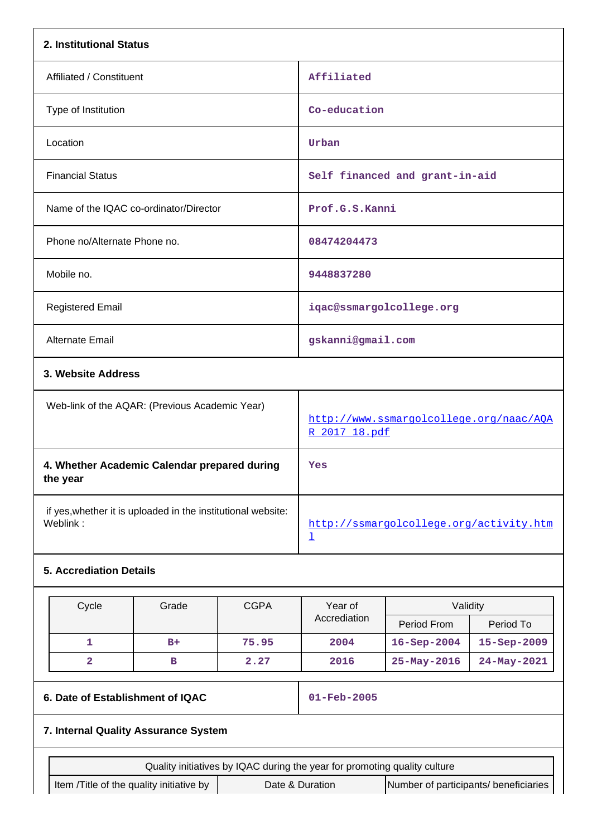| 2. Institutional Status                                  |                                                                           |             |                                                                    |                                                          |             |  |
|----------------------------------------------------------|---------------------------------------------------------------------------|-------------|--------------------------------------------------------------------|----------------------------------------------------------|-------------|--|
| Affiliated / Constituent                                 |                                                                           |             | Affiliated                                                         |                                                          |             |  |
| Type of Institution                                      |                                                                           |             | Co-education                                                       |                                                          |             |  |
| Location                                                 |                                                                           |             | Urban                                                              |                                                          |             |  |
| <b>Financial Status</b>                                  |                                                                           |             |                                                                    | Self financed and grant-in-aid                           |             |  |
|                                                          | Name of the IQAC co-ordinator/Director                                    |             | Prof.G.S.Kanni                                                     |                                                          |             |  |
| Phone no/Alternate Phone no.                             |                                                                           |             | 08474204473                                                        |                                                          |             |  |
| Mobile no.                                               |                                                                           |             | 9448837280                                                         |                                                          |             |  |
| <b>Registered Email</b>                                  |                                                                           |             |                                                                    | iqac@ssmargolcollege.org                                 |             |  |
| Alternate Email                                          |                                                                           |             | gskanni@gmail.com                                                  |                                                          |             |  |
| 3. Website Address                                       |                                                                           |             |                                                                    |                                                          |             |  |
|                                                          | Web-link of the AQAR: (Previous Academic Year)                            |             |                                                                    | http://www.ssmargolcollege.org/naac/AQA<br>R 2017 18.pdf |             |  |
| 4. Whether Academic Calendar prepared during<br>the year |                                                                           |             | Yes                                                                |                                                          |             |  |
| Weblink:                                                 | if yes, whether it is uploaded in the institutional website:              |             | http://ssmargolcollege.org/activity.htm<br>$\overline{\mathsf{r}}$ |                                                          |             |  |
| <b>5. Accrediation Details</b>                           |                                                                           |             |                                                                    |                                                          |             |  |
| Cycle                                                    | Grade                                                                     | <b>CGPA</b> | Year of<br>Accrediation                                            | Validity<br>Period From                                  | Period To   |  |
| 1                                                        | $B+$                                                                      | 75.95       | 2004                                                               | $16 - Sep - 2004$                                        | 15-Sep-2009 |  |
| $\mathbf{2}$                                             | в                                                                         | 2.27        | 2016                                                               | 25-May-2016                                              | 24-May-2021 |  |
|                                                          | 6. Date of Establishment of IQAC                                          |             |                                                                    | 01-Feb-2005                                              |             |  |
|                                                          | 7. Internal Quality Assurance System                                      |             |                                                                    |                                                          |             |  |
|                                                          | Quality initiatives by IQAC during the year for promoting quality culture |             |                                                                    |                                                          |             |  |
|                                                          | Item /Title of the quality initiative by                                  |             | Date & Duration                                                    | Number of participants/ beneficiaries                    |             |  |
|                                                          |                                                                           |             |                                                                    |                                                          |             |  |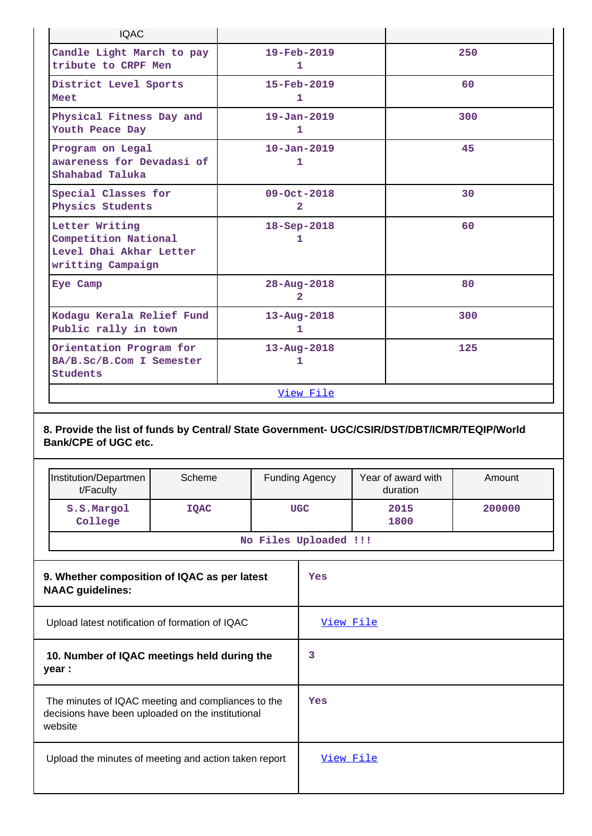| <b>IQAC</b>                                                                                                                 |             |                               |                                   |  |                                |        |
|-----------------------------------------------------------------------------------------------------------------------------|-------------|-------------------------------|-----------------------------------|--|--------------------------------|--------|
| Candle Light March to pay<br>tribute to CRPF Men                                                                            |             | 19-Feb-2019<br>$\mathbf{1}$   |                                   |  |                                | 250    |
| District Level Sports<br>Meet                                                                                               |             |                               | 15-Feb-2019<br>$\mathbf{1}$       |  | 60                             |        |
| Physical Fitness Day and<br>Youth Peace Day                                                                                 |             |                               | $19 - Jan - 2019$<br>$\mathbf{1}$ |  |                                | 300    |
| Program on Legal<br>awareness for Devadasi of<br>Shahabad Taluka                                                            |             |                               | $10 - Jan - 2019$<br>$\mathbf{1}$ |  |                                | 45     |
| Special Classes for<br>Physics Students                                                                                     |             |                               | 09-Oct-2018<br>$\overline{2}$     |  |                                | 30     |
| Letter Writing<br>Competition National<br>Level Dhai Akhar Letter<br>writting Campaign                                      |             | $18 - Sep - 2018$<br>1        |                                   |  |                                | 60     |
| Eye Camp                                                                                                                    |             | $28 - Aug - 2018$<br>2        |                                   |  | 80                             |        |
| Kodagu Kerala Relief Fund<br>Public rally in town                                                                           |             | $13 - Aug - 2018$<br>1        |                                   |  |                                | 300    |
| Orientation Program for<br>BA/B.Sc/B.Com I Semester<br><b>Students</b>                                                      |             | $13 - Aug - 2018$<br>125<br>1 |                                   |  |                                |        |
|                                                                                                                             |             |                               | View File                         |  |                                |        |
| 8. Provide the list of funds by Central/ State Government- UGC/CSIR/DST/DBT/ICMR/TEQIP/World<br><b>Bank/CPE of UGC etc.</b> |             |                               |                                   |  |                                |        |
| Institution/Departmen<br>t/Faculty                                                                                          | Scheme      |                               | <b>Funding Agency</b>             |  | Year of award with<br>duration | Amount |
| S.S.Margol<br>College                                                                                                       | <b>IQAC</b> | <b>UGC</b>                    |                                   |  | 2015<br>1800                   | 200000 |
| No Files Uploaded !!!                                                                                                       |             |                               |                                   |  |                                |        |

| 9. Whether composition of IQAC as per latest<br><b>NAAC</b> guidelines:                                            | Yes        |
|--------------------------------------------------------------------------------------------------------------------|------------|
| Upload latest notification of formation of IQAC                                                                    | View File  |
| 10. Number of IQAC meetings held during the<br>year :                                                              | 3          |
| The minutes of IQAC meeting and compliances to the<br>decisions have been uploaded on the institutional<br>website | <b>Yes</b> |
| Upload the minutes of meeting and action taken report                                                              | View File  |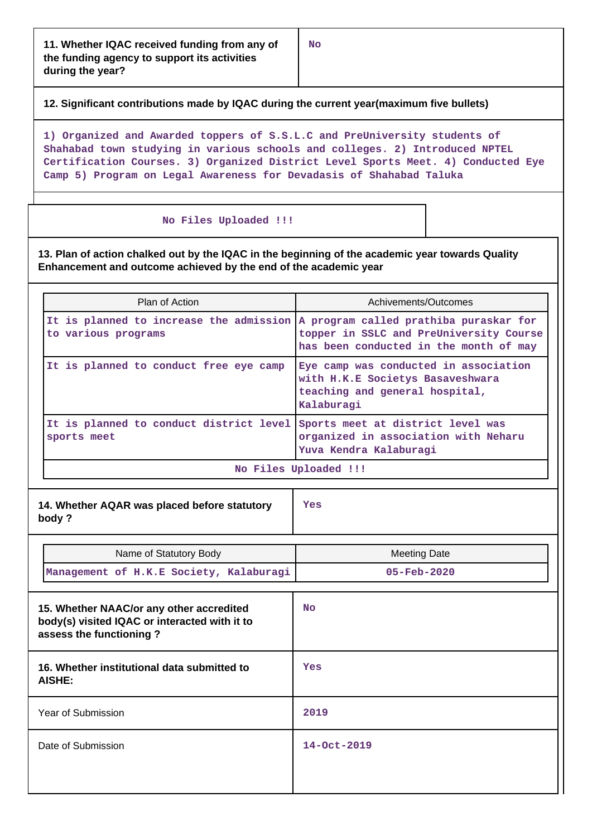**12. Significant contributions made by IQAC during the current year(maximum five bullets)**

**1) Organized and Awarded toppers of S.S.L.C and PreUniversity students of Shahabad town studying in various schools and colleges. 2) Introduced NPTEL Certification Courses. 3) Organized District Level Sports Meet. 4) Conducted Eye Camp 5) Program on Legal Awareness for Devadasis of Shahabad Taluka**

#### **No Files Uploaded !!!**

**13. Plan of action chalked out by the IQAC in the beginning of the academic year towards Quality Enhancement and outcome achieved by the end of the academic year**

| Plan of Action                                                                                        | Achivements/Outcomes                                                                                                      |
|-------------------------------------------------------------------------------------------------------|---------------------------------------------------------------------------------------------------------------------------|
| It is planned to increase the admission A program called prathiba puraskar for<br>to various programs | topper in SSLC and PreUniversity Course<br>has been conducted in the month of may                                         |
| It is planned to conduct free eye camp                                                                | Eye camp was conducted in association<br>with H.K.E Societys Basaveshwara<br>teaching and general hospital,<br>Kalaburagi |
| It is planned to conduct district level<br>sports meet                                                | Sports meet at district level was<br>organized in association with Neharu<br>Yuva Kendra Kalaburagi                       |
|                                                                                                       | No Files Uploaded !!!                                                                                                     |

| 14. Whether AQAR was placed before statutory<br>body?                                                                | Yes                                             |  |
|----------------------------------------------------------------------------------------------------------------------|-------------------------------------------------|--|
| Name of Statutory Body<br>Management of H.K.E Society, Kalaburagi                                                    | <b>Meeting Date</b><br>$05 - \text{Feb} - 2020$ |  |
| 15. Whether NAAC/or any other accredited<br>body(s) visited IQAC or interacted with it to<br>assess the functioning? | <b>No</b>                                       |  |
| 16. Whether institutional data submitted to<br>AISHE:                                                                | Yes                                             |  |
| Year of Submission                                                                                                   | 2019                                            |  |
| Date of Submission                                                                                                   | 14-Oct-2019                                     |  |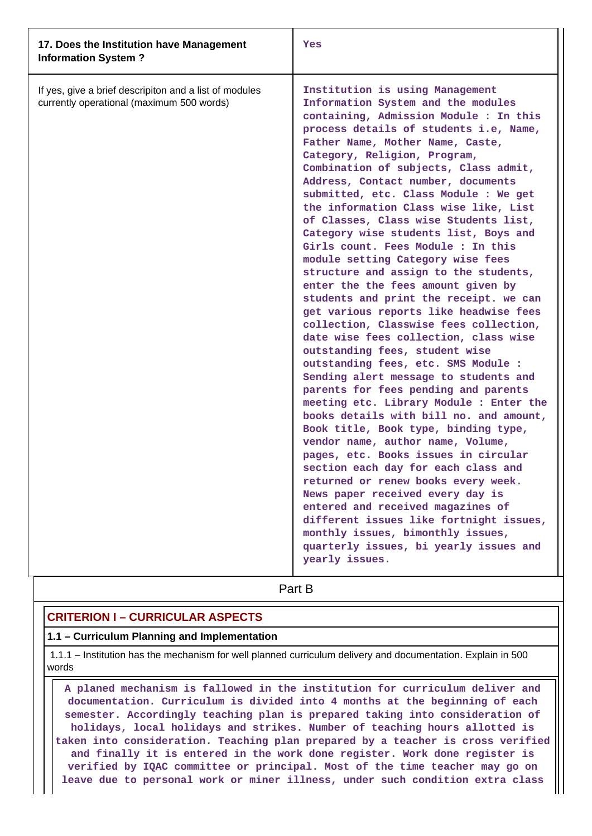| 17. Does the Institution have Management<br><b>Information System?</b>                              | Yes                                                                                                                                                                                                                                                                                                                                                                                                                                                                                                                                                                                                                                                                                                                                                                                                                                                                                                                                                                                                                                                                                                                                                                                                                                                                                                                                                                                                                                                                                       |
|-----------------------------------------------------------------------------------------------------|-------------------------------------------------------------------------------------------------------------------------------------------------------------------------------------------------------------------------------------------------------------------------------------------------------------------------------------------------------------------------------------------------------------------------------------------------------------------------------------------------------------------------------------------------------------------------------------------------------------------------------------------------------------------------------------------------------------------------------------------------------------------------------------------------------------------------------------------------------------------------------------------------------------------------------------------------------------------------------------------------------------------------------------------------------------------------------------------------------------------------------------------------------------------------------------------------------------------------------------------------------------------------------------------------------------------------------------------------------------------------------------------------------------------------------------------------------------------------------------------|
| If yes, give a brief descripiton and a list of modules<br>currently operational (maximum 500 words) | Institution is using Management<br>Information System and the modules<br>containing, Admission Module : In this<br>process details of students i.e, Name,<br>Father Name, Mother Name, Caste,<br>Category, Religion, Program,<br>Combination of subjects, Class admit,<br>Address, Contact number, documents<br>submitted, etc. Class Module : We get<br>the information Class wise like, List<br>of Classes, Class wise Students list,<br>Category wise students list, Boys and<br>Girls count. Fees Module : In this<br>module setting Category wise fees<br>structure and assign to the students,<br>enter the the fees amount given by<br>students and print the receipt. we can<br>get various reports like headwise fees<br>collection, Classwise fees collection,<br>date wise fees collection, class wise<br>outstanding fees, student wise<br>outstanding fees, etc. SMS Module :<br>Sending alert message to students and<br>parents for fees pending and parents<br>meeting etc. Library Module : Enter the<br>books details with bill no. and amount,<br>Book title, Book type, binding type,<br>vendor name, author name, Volume,<br>pages, etc. Books issues in circular<br>section each day for each class and<br>returned or renew books every week.<br>News paper received every day is<br>entered and received magazines of<br>different issues like fortnight issues,<br>monthly issues, bimonthly issues,<br>quarterly issues, bi yearly issues and<br>yearly issues. |
|                                                                                                     | Part B                                                                                                                                                                                                                                                                                                                                                                                                                                                                                                                                                                                                                                                                                                                                                                                                                                                                                                                                                                                                                                                                                                                                                                                                                                                                                                                                                                                                                                                                                    |

## **CRITERION I – CURRICULAR ASPECTS**

#### **1.1 – Curriculum Planning and Implementation**

 1.1.1 – Institution has the mechanism for well planned curriculum delivery and documentation. Explain in 500 words

 **A planed mechanism is fallowed in the institution for curriculum deliver and documentation. Curriculum is divided into 4 months at the beginning of each semester. Accordingly teaching plan is prepared taking into consideration of holidays, local holidays and strikes. Number of teaching hours allotted is taken into consideration. Teaching plan prepared by a teacher is cross verified and finally it is entered in the work done register. Work done register is verified by IQAC committee or principal. Most of the time teacher may go on leave due to personal work or miner illness, under such condition extra class**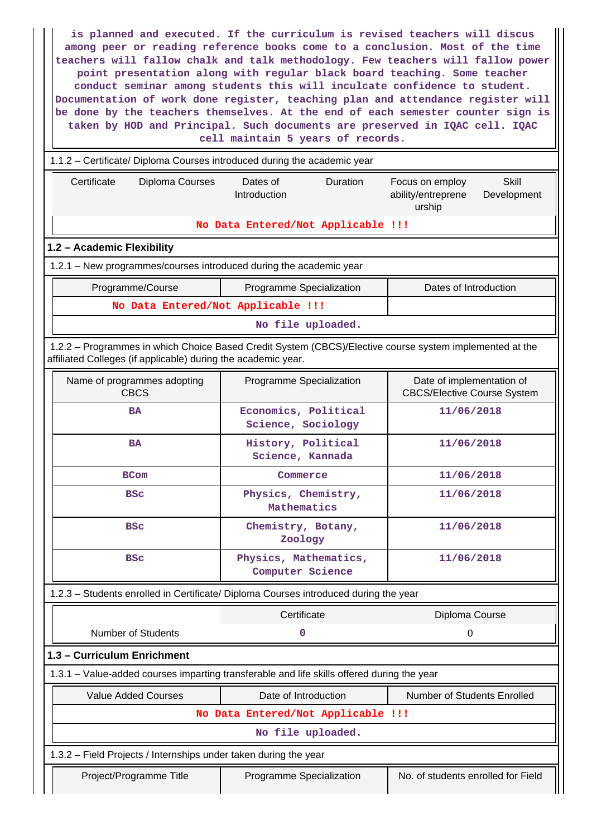**is planned and executed. If the curriculum is revised teachers will discus among peer or reading reference books come to a conclusion. Most of the time teachers will fallow chalk and talk methodology. Few teachers will fallow power point presentation along with regular black board teaching. Some teacher conduct seminar among students this will inculcate confidence to student. Documentation of work done register, teaching plan and attendance register will be done by the teachers themselves. At the end of each semester counter sign is taken by HOD and Principal. Such documents are preserved in IQAC cell. IQAC cell maintain 5 years of records.**

 1.1.2 – Certificate/ Diploma Courses introduced during the academic year Certificate Diploma Courses Dates of Introduction Duration Focus on employ ability/entreprene urship **Skill** Development **No Data Entered/Not Applicable !!! 1.2 – Academic Flexibility** 1.2.1 – New programmes/courses introduced during the academic year Programme/Course Programme Specialization | Dates of Introduction **No Data Entered/Not Applicable !!! No file uploaded.** 1.2.2 – Programmes in which Choice Based Credit System (CBCS)/Elective course system implemented at the affiliated Colleges (if applicable) during the academic year. Name of programmes adopting CBCS Programme Specialization | Date of implementation of CBCS/Elective Course System **BA Economics, Political Science, Sociology 11/06/2018 BA History, Political Science, Kannada 11/06/2018 BCom Commerce 11/06/2018 BSc Physics, Chemistry, Mathematics 11/06/2018 BSc Chemistry, Botany, Zoology 11/06/2018 BSc Physics, Mathematics, Computer Science 11/06/2018** 1.2.3 – Students enrolled in Certificate/ Diploma Courses introduced during the year Certificate Diploma Course Number of Students **0** 0 **1.3 – Curriculum Enrichment** 1.3.1 – Value-added courses imparting transferable and life skills offered during the year Value Added Courses **Date of Introduction** Number of Students Enrolled **No Data Entered/Not Applicable !!!**

**No file uploaded.**

1.3.2 – Field Projects / Internships under taken during the year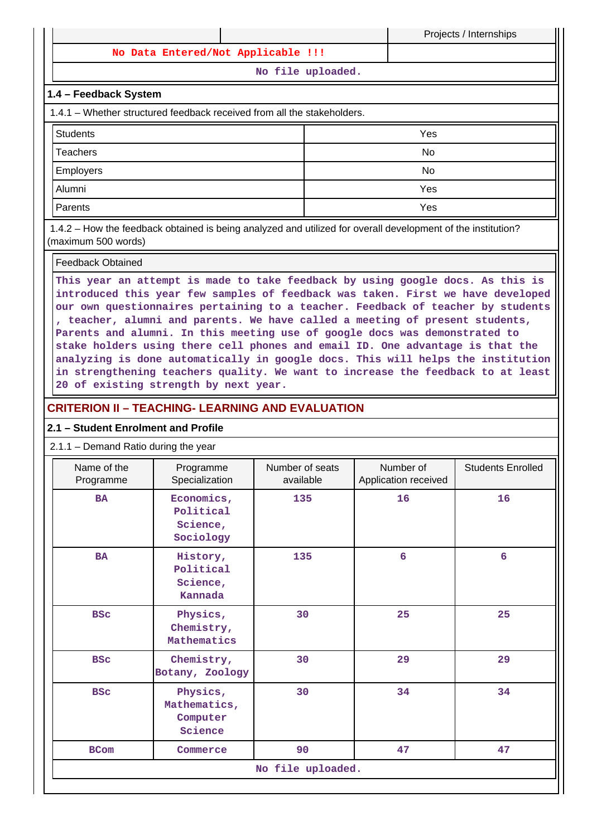**No Data Entered/Not Applicable !!!**

**No file uploaded.**

Projects / Internships

### **1.4 – Feedback System**

1.4.1 – Whether structured feedback received from all the stakeholders.

| <b>Students</b>  | Yes |
|------------------|-----|
| Teachers         | No  |
| <b>Employers</b> | No  |
| Alumni           | Yes |
| Parents          | Yes |

 1.4.2 – How the feedback obtained is being analyzed and utilized for overall development of the institution? (maximum 500 words)

#### Feedback Obtained

**This year an attempt is made to take feedback by using google docs. As this is introduced this year few samples of feedback was taken. First we have developed our own questionnaires pertaining to a teacher. Feedback of teacher by students , teacher, alumni and parents. We have called a meeting of present students, Parents and alumni. In this meeting use of google docs was demonstrated to stake holders using there cell phones and email ID. One advantage is that the analyzing is done automatically in google docs. This will helps the institution in strengthening teachers quality. We want to increase the feedback to at least 20 of existing strength by next year.**

## **CRITERION II – TEACHING- LEARNING AND EVALUATION**

#### **2.1 – Student Enrolment and Profile**

2.1.1 – Demand Ratio during the year

| Name of the<br>Programme | Programme<br>Specialization                      | Number of seats<br>available | Number of<br>Application received | <b>Students Enrolled</b> |  |  |  |
|--------------------------|--------------------------------------------------|------------------------------|-----------------------------------|--------------------------|--|--|--|
| <b>BA</b>                | Economics,<br>Political<br>Science,<br>Sociology | 135                          | 16                                | 16                       |  |  |  |
| <b>BA</b>                | History,<br>Political<br>Science,<br>Kannada     | 135                          | $6\phantom{1}6$                   | 6                        |  |  |  |
| <b>BSC</b>               | Physics,<br>Chemistry,<br>Mathematics            | 30                           | 25                                | 25                       |  |  |  |
| <b>BSC</b>               | Chemistry,<br>Botany, Zoology                    | 30                           | 29                                | 29                       |  |  |  |
| <b>BSC</b>               | Physics,<br>Mathematics,<br>Computer<br>Science  | 30                           | 34                                | 34                       |  |  |  |
| <b>BCom</b>              | Commerce                                         | 90                           | 47                                | 47                       |  |  |  |
|                          | No file uploaded.                                |                              |                                   |                          |  |  |  |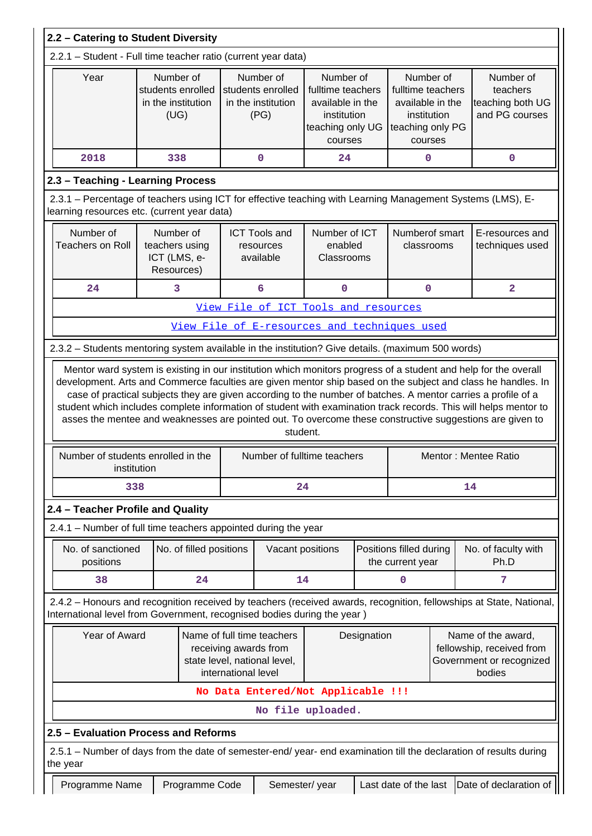| 2.2 - Catering to Student Diversity                                                                                                                       |                                                              |                         |             |                                                              |                                                                                                  |  |                                                                                                  |  |                                                                                                                                                                                                                                                      |
|-----------------------------------------------------------------------------------------------------------------------------------------------------------|--------------------------------------------------------------|-------------------------|-------------|--------------------------------------------------------------|--------------------------------------------------------------------------------------------------|--|--------------------------------------------------------------------------------------------------|--|------------------------------------------------------------------------------------------------------------------------------------------------------------------------------------------------------------------------------------------------------|
| 2.2.1 - Student - Full time teacher ratio (current year data)                                                                                             |                                                              |                         |             |                                                              |                                                                                                  |  |                                                                                                  |  |                                                                                                                                                                                                                                                      |
| Year                                                                                                                                                      | Number of<br>students enrolled<br>in the institution<br>(UG) |                         |             | Number of<br>students enrolled<br>in the institution<br>(PG) | Number of<br>fulltime teachers<br>available in the<br>institution<br>teaching only UG<br>courses |  | Number of<br>fulltime teachers<br>available in the<br>institution<br>teaching only PG<br>courses |  | Number of<br>teachers<br>teaching both UG<br>and PG courses                                                                                                                                                                                          |
| 2018                                                                                                                                                      | 338                                                          |                         |             | 0                                                            | 24                                                                                               |  | 0                                                                                                |  | 0                                                                                                                                                                                                                                                    |
| 2.3 - Teaching - Learning Process                                                                                                                         |                                                              |                         |             |                                                              |                                                                                                  |  |                                                                                                  |  |                                                                                                                                                                                                                                                      |
| 2.3.1 – Percentage of teachers using ICT for effective teaching with Learning Management Systems (LMS), E-<br>learning resources etc. (current year data) |                                                              |                         |             |                                                              |                                                                                                  |  |                                                                                                  |  |                                                                                                                                                                                                                                                      |
| Number of<br><b>Teachers on Roll</b>                                                                                                                      | Number of<br>teachers using<br>ICT (LMS, e-<br>Resources)    |                         |             | <b>ICT Tools and</b><br>resources<br>available               | Number of ICT<br>enabled<br>Classrooms                                                           |  | Numberof smart<br>classrooms                                                                     |  | E-resources and<br>techniques used                                                                                                                                                                                                                   |
| 24                                                                                                                                                        | 3                                                            |                         |             | 6                                                            | 0                                                                                                |  | 0                                                                                                |  | $\overline{\mathbf{2}}$                                                                                                                                                                                                                              |
|                                                                                                                                                           |                                                              |                         |             |                                                              | View File of ICT Tools and resources                                                             |  |                                                                                                  |  |                                                                                                                                                                                                                                                      |
|                                                                                                                                                           |                                                              |                         |             |                                                              | View File of E-resources and techniques used                                                     |  |                                                                                                  |  |                                                                                                                                                                                                                                                      |
| 2.3.2 - Students mentoring system available in the institution? Give details. (maximum 500 words)                                                         |                                                              |                         |             |                                                              |                                                                                                  |  |                                                                                                  |  |                                                                                                                                                                                                                                                      |
| Number of students enrolled in the<br>institution                                                                                                         |                                                              |                         |             | student.                                                     | Number of fulltime teachers                                                                      |  |                                                                                                  |  | student which includes complete information of student with examination track records. This will helps mentor to<br>asses the mentee and weaknesses are pointed out. To overcome these constructive suggestions are given to<br>Mentor: Mentee Ratio |
| 338                                                                                                                                                       |                                                              |                         |             | 24                                                           |                                                                                                  |  |                                                                                                  |  | 14                                                                                                                                                                                                                                                   |
| 2.4 - Teacher Profile and Quality                                                                                                                         |                                                              |                         |             |                                                              |                                                                                                  |  |                                                                                                  |  |                                                                                                                                                                                                                                                      |
| 2.4.1 – Number of full time teachers appointed during the year                                                                                            |                                                              |                         |             |                                                              |                                                                                                  |  |                                                                                                  |  |                                                                                                                                                                                                                                                      |
| No. of sanctioned<br>positions                                                                                                                            |                                                              | No. of filled positions |             | Vacant positions                                             |                                                                                                  |  | Positions filled during<br>the current year                                                      |  | No. of faculty with<br>Ph.D                                                                                                                                                                                                                          |
| 38                                                                                                                                                        |                                                              | 24                      |             | 14                                                           |                                                                                                  |  | 0                                                                                                |  | 7                                                                                                                                                                                                                                                    |
| International level from Government, recognised bodies during the year)                                                                                   |                                                              |                         |             |                                                              |                                                                                                  |  |                                                                                                  |  | 2.4.2 - Honours and recognition received by teachers (received awards, recognition, fellowships at State, National,                                                                                                                                  |
| Year of Award<br>Name of full time teachers<br>receiving awards from<br>state level, national level,<br>international level                               |                                                              |                         | Designation |                                                              | Name of the award,<br>fellowship, received from<br>Government or recognized<br>bodies            |  |                                                                                                  |  |                                                                                                                                                                                                                                                      |
|                                                                                                                                                           |                                                              |                         |             |                                                              | No Data Entered/Not Applicable !!!                                                               |  |                                                                                                  |  |                                                                                                                                                                                                                                                      |
|                                                                                                                                                           |                                                              |                         |             |                                                              | No file uploaded.                                                                                |  |                                                                                                  |  |                                                                                                                                                                                                                                                      |
| 2.5 - Evaluation Process and Reforms                                                                                                                      |                                                              |                         |             |                                                              |                                                                                                  |  |                                                                                                  |  |                                                                                                                                                                                                                                                      |
| 2.5.1 - Number of days from the date of semester-end/ year- end examination till the declaration of results during<br>the year                            |                                                              |                         |             |                                                              |                                                                                                  |  |                                                                                                  |  |                                                                                                                                                                                                                                                      |
| Programme Name                                                                                                                                            |                                                              | Programme Code          |             | Semester/year                                                |                                                                                                  |  | Last date of the last                                                                            |  | Date of declaration of                                                                                                                                                                                                                               |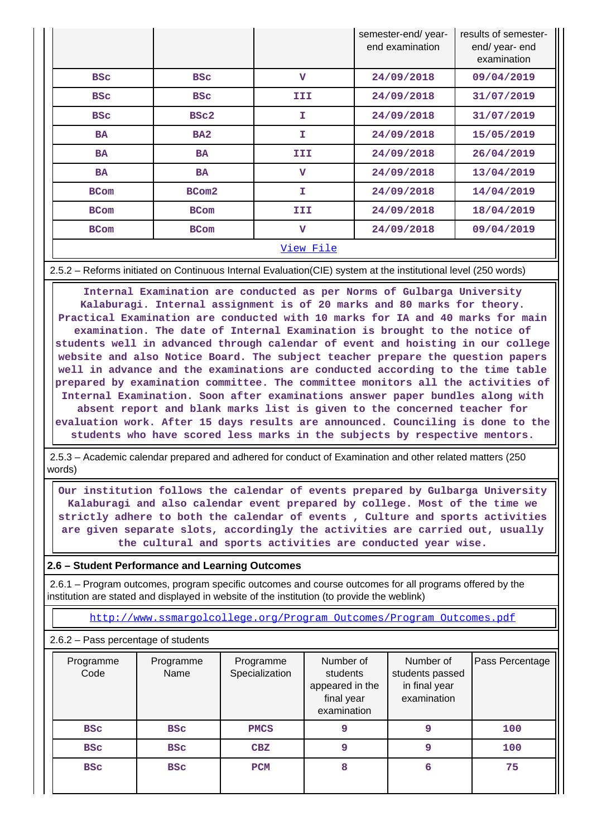|             |                 |                         | semester-end/year-<br>end examination | results of semester-<br>end/year-end<br>examination |
|-------------|-----------------|-------------------------|---------------------------------------|-----------------------------------------------------|
| <b>BSC</b>  | <b>BSC</b>      | $\overline{\mathbf{v}}$ | 24/09/2018                            | 09/04/2019                                          |
| <b>BSC</b>  | <b>BSC</b>      | III                     | 24/09/2018                            | 31/07/2019                                          |
| <b>BSC</b>  | BSc2            | I                       | 24/09/2018                            | 31/07/2019                                          |
| <b>BA</b>   | BA <sub>2</sub> | I                       | 24/09/2018                            | 15/05/2019                                          |
| <b>BA</b>   | <b>BA</b>       | III                     | 24/09/2018                            | 26/04/2019                                          |
| <b>BA</b>   | <b>BA</b>       | $\mathbf{v}$            | 24/09/2018                            | 13/04/2019                                          |
| <b>BCom</b> | BCom2           | T.                      | 24/09/2018                            | 14/04/2019                                          |
| <b>BCom</b> | <b>BCom</b>     | III                     | 24/09/2018                            | 18/04/2019                                          |
| <b>BCom</b> | <b>BCom</b>     | $\mathbf v$             | 24/09/2018                            | 09/04/2019                                          |
|             |                 | View File               |                                       |                                                     |

#### 2.5.2 – Reforms initiated on Continuous Internal Evaluation(CIE) system at the institutional level (250 words)

 **Internal Examination are conducted as per Norms of Gulbarga University Kalaburagi. Internal assignment is of 20 marks and 80 marks for theory. Practical Examination are conducted with 10 marks for IA and 40 marks for main examination. The date of Internal Examination is brought to the notice of students well in advanced through calendar of event and hoisting in our college website and also Notice Board. The subject teacher prepare the question papers well in advance and the examinations are conducted according to the time table prepared by examination committee. The committee monitors all the activities of Internal Examination. Soon after examinations answer paper bundles along with absent report and blank marks list is given to the concerned teacher for evaluation work. After 15 days results are announced. Counciling is done to the students who have scored less marks in the subjects by respective mentors.**

 2.5.3 – Academic calendar prepared and adhered for conduct of Examination and other related matters (250 words)

 **Our institution follows the calendar of events prepared by Gulbarga University Kalaburagi and also calendar event prepared by college. Most of the time we strictly adhere to both the calendar of events , Culture and sports activities are given separate slots, accordingly the activities are carried out, usually the cultural and sports activities are conducted year wise.**

## **2.6 – Student Performance and Learning Outcomes**

 2.6.1 – Program outcomes, program specific outcomes and course outcomes for all programs offered by the institution are stated and displayed in website of the institution (to provide the weblink)

[http://www.ssmargolcollege.org/Program\\_Outcomes/Program\\_Outcomes.pdf](http://www.ssmargolcollege.org/Program_Outcomes/Program_Outcomes.pdf)

#### 2.6.2 – Pass percentage of students

| Programme<br>Code | Programme<br>Name | Programme<br>Specialization | Number of<br>students<br>appeared in the<br>final year<br>examination | Number of<br>students passed<br>in final year<br>examination | Pass Percentage |
|-------------------|-------------------|-----------------------------|-----------------------------------------------------------------------|--------------------------------------------------------------|-----------------|
| <b>BSC</b>        | <b>BSC</b>        | <b>PMCS</b>                 | 9                                                                     | 9                                                            | 100             |
| <b>BSC</b>        | <b>BSC</b>        | CBZ                         | 9                                                                     | 9                                                            | 100             |
| <b>BSC</b>        | <b>BSC</b>        | <b>PCM</b>                  | 8                                                                     | 6                                                            | 75              |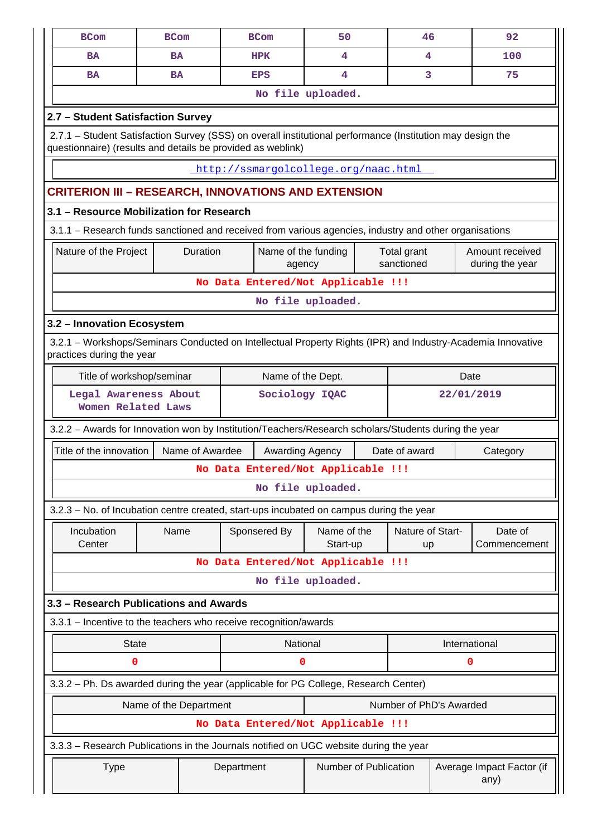| <b>BCom</b>                                                                                                                                                               | <b>BCom</b>                              |                 | <b>BCom</b>                          | 50                      |  | 46                        |  | 92                                 |  |  |  |
|---------------------------------------------------------------------------------------------------------------------------------------------------------------------------|------------------------------------------|-----------------|--------------------------------------|-------------------------|--|---------------------------|--|------------------------------------|--|--|--|
| <b>BA</b>                                                                                                                                                                 | <b>BA</b>                                |                 | <b>HPK</b>                           | 4                       |  | 4                         |  | 100                                |  |  |  |
| <b>BA</b>                                                                                                                                                                 | <b>BA</b>                                |                 | <b>EPS</b>                           | 4                       |  | 3                         |  | 75                                 |  |  |  |
|                                                                                                                                                                           |                                          |                 |                                      | No file uploaded.       |  |                           |  |                                    |  |  |  |
| 2.7 - Student Satisfaction Survey                                                                                                                                         |                                          |                 |                                      |                         |  |                           |  |                                    |  |  |  |
| 2.7.1 - Student Satisfaction Survey (SSS) on overall institutional performance (Institution may design the<br>questionnaire) (results and details be provided as weblink) |                                          |                 |                                      |                         |  |                           |  |                                    |  |  |  |
|                                                                                                                                                                           |                                          |                 | http://ssmargolcollege.org/naac.html |                         |  |                           |  |                                    |  |  |  |
| <b>CRITERION III - RESEARCH, INNOVATIONS AND EXTENSION</b>                                                                                                                |                                          |                 |                                      |                         |  |                           |  |                                    |  |  |  |
|                                                                                                                                                                           | 3.1 - Resource Mobilization for Research |                 |                                      |                         |  |                           |  |                                    |  |  |  |
| 3.1.1 - Research funds sanctioned and received from various agencies, industry and other organisations                                                                    |                                          |                 |                                      |                         |  |                           |  |                                    |  |  |  |
| Nature of the Project                                                                                                                                                     |                                          | Duration        | Name of the funding<br>agency        |                         |  | Total grant<br>sanctioned |  | Amount received<br>during the year |  |  |  |
|                                                                                                                                                                           |                                          |                 | No Data Entered/Not Applicable !!!   |                         |  |                           |  |                                    |  |  |  |
| No file uploaded.                                                                                                                                                         |                                          |                 |                                      |                         |  |                           |  |                                    |  |  |  |
| 3.2 - Innovation Ecosystem                                                                                                                                                |                                          |                 |                                      |                         |  |                           |  |                                    |  |  |  |
| 3.2.1 – Workshops/Seminars Conducted on Intellectual Property Rights (IPR) and Industry-Academia Innovative<br>practices during the year                                  |                                          |                 |                                      |                         |  |                           |  |                                    |  |  |  |
| Title of workshop/seminar<br>Name of the Dept.<br>Date                                                                                                                    |                                          |                 |                                      |                         |  |                           |  |                                    |  |  |  |
| 22/01/2019<br>Legal Awareness About<br>Sociology IQAC<br>Women Related Laws                                                                                               |                                          |                 |                                      |                         |  |                           |  |                                    |  |  |  |
| 3.2.2 - Awards for Innovation won by Institution/Teachers/Research scholars/Students during the year                                                                      |                                          |                 |                                      |                         |  |                           |  |                                    |  |  |  |
| Title of the innovation                                                                                                                                                   |                                          | Name of Awardee |                                      | Awarding Agency         |  | Date of award             |  | Category                           |  |  |  |
|                                                                                                                                                                           |                                          |                 | No Data Entered/Not Applicable !!!   |                         |  |                           |  |                                    |  |  |  |
|                                                                                                                                                                           |                                          |                 |                                      | No file uploaded.       |  |                           |  |                                    |  |  |  |
| 3.2.3 - No. of Incubation centre created, start-ups incubated on campus during the year                                                                                   |                                          |                 |                                      |                         |  |                           |  |                                    |  |  |  |
| Incubation<br>Center                                                                                                                                                      | Name                                     |                 | Sponsered By                         | Name of the<br>Start-up |  | Nature of Start-<br>up    |  | Date of<br>Commencement            |  |  |  |
|                                                                                                                                                                           |                                          |                 | No Data Entered/Not Applicable !!!   |                         |  |                           |  |                                    |  |  |  |
|                                                                                                                                                                           |                                          |                 |                                      | No file uploaded.       |  |                           |  |                                    |  |  |  |
| 3.3 - Research Publications and Awards                                                                                                                                    |                                          |                 |                                      |                         |  |                           |  |                                    |  |  |  |
| 3.3.1 - Incentive to the teachers who receive recognition/awards                                                                                                          |                                          |                 |                                      |                         |  |                           |  |                                    |  |  |  |
| <b>State</b>                                                                                                                                                              |                                          |                 |                                      | National                |  |                           |  | International                      |  |  |  |
| 0                                                                                                                                                                         |                                          |                 | 0                                    |                         |  |                           |  | 0                                  |  |  |  |
| 3.3.2 - Ph. Ds awarded during the year (applicable for PG College, Research Center)                                                                                       |                                          |                 |                                      |                         |  |                           |  |                                    |  |  |  |
|                                                                                                                                                                           | Name of the Department                   |                 |                                      |                         |  | Number of PhD's Awarded   |  |                                    |  |  |  |
|                                                                                                                                                                           |                                          |                 | No Data Entered/Not Applicable !!!   |                         |  |                           |  |                                    |  |  |  |
| 3.3.3 - Research Publications in the Journals notified on UGC website during the year                                                                                     |                                          |                 |                                      |                         |  |                           |  |                                    |  |  |  |
| <b>Type</b>                                                                                                                                                               |                                          |                 | Department                           | Number of Publication   |  |                           |  | Average Impact Factor (if<br>any)  |  |  |  |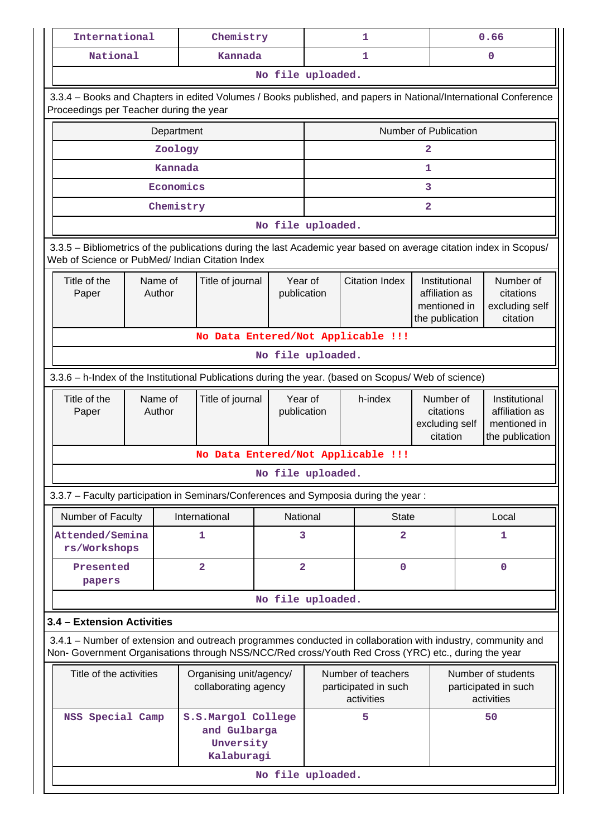| Chemistry<br>0.66<br>International<br>1<br>National<br>Kannada<br>1<br>0<br>No file uploaded.<br>3.3.4 - Books and Chapters in edited Volumes / Books published, and papers in National/International Conference<br>Proceedings per Teacher during the year<br>Number of Publication<br>Department<br>Zoology<br>2<br>Kannada<br>1<br>Economics<br>3<br>Chemistry<br>2 |                                                          |  |  |  |  |  |  |  |  |  |
|------------------------------------------------------------------------------------------------------------------------------------------------------------------------------------------------------------------------------------------------------------------------------------------------------------------------------------------------------------------------|----------------------------------------------------------|--|--|--|--|--|--|--|--|--|
|                                                                                                                                                                                                                                                                                                                                                                        |                                                          |  |  |  |  |  |  |  |  |  |
|                                                                                                                                                                                                                                                                                                                                                                        |                                                          |  |  |  |  |  |  |  |  |  |
|                                                                                                                                                                                                                                                                                                                                                                        |                                                          |  |  |  |  |  |  |  |  |  |
|                                                                                                                                                                                                                                                                                                                                                                        |                                                          |  |  |  |  |  |  |  |  |  |
|                                                                                                                                                                                                                                                                                                                                                                        |                                                          |  |  |  |  |  |  |  |  |  |
|                                                                                                                                                                                                                                                                                                                                                                        |                                                          |  |  |  |  |  |  |  |  |  |
|                                                                                                                                                                                                                                                                                                                                                                        |                                                          |  |  |  |  |  |  |  |  |  |
|                                                                                                                                                                                                                                                                                                                                                                        |                                                          |  |  |  |  |  |  |  |  |  |
|                                                                                                                                                                                                                                                                                                                                                                        |                                                          |  |  |  |  |  |  |  |  |  |
| No file uploaded.                                                                                                                                                                                                                                                                                                                                                      |                                                          |  |  |  |  |  |  |  |  |  |
| 3.3.5 – Bibliometrics of the publications during the last Academic year based on average citation index in Scopus/<br>Web of Science or PubMed/ Indian Citation Index                                                                                                                                                                                                  |                                                          |  |  |  |  |  |  |  |  |  |
| Title of the<br>Title of journal<br>Year of<br><b>Citation Index</b><br>Number of<br>Name of<br>Institutional<br>Author<br>citations<br>Paper<br>publication<br>affiliation as<br>excluding self<br>mentioned in<br>citation<br>the publication                                                                                                                        |                                                          |  |  |  |  |  |  |  |  |  |
| No Data Entered/Not Applicable !!!                                                                                                                                                                                                                                                                                                                                     |                                                          |  |  |  |  |  |  |  |  |  |
| No file uploaded.                                                                                                                                                                                                                                                                                                                                                      |                                                          |  |  |  |  |  |  |  |  |  |
| 3.3.6 - h-Index of the Institutional Publications during the year. (based on Scopus/ Web of science)                                                                                                                                                                                                                                                                   |                                                          |  |  |  |  |  |  |  |  |  |
| Year of<br>Title of the<br>Name of<br>Title of journal<br>h-index<br>Number of<br>Author<br>affiliation as<br>publication<br>citations<br>Paper<br>excluding self<br>mentioned in<br>citation<br>the publication                                                                                                                                                       | Institutional                                            |  |  |  |  |  |  |  |  |  |
| No Data Entered/Not Applicable !!!                                                                                                                                                                                                                                                                                                                                     |                                                          |  |  |  |  |  |  |  |  |  |
| No file uploaded.                                                                                                                                                                                                                                                                                                                                                      |                                                          |  |  |  |  |  |  |  |  |  |
| 3.3.7 - Faculty participation in Seminars/Conferences and Symposia during the year:                                                                                                                                                                                                                                                                                    |                                                          |  |  |  |  |  |  |  |  |  |
| Number of Faculty<br>International<br>National<br><b>State</b><br>Local                                                                                                                                                                                                                                                                                                |                                                          |  |  |  |  |  |  |  |  |  |
| $\overline{\mathbf{2}}$<br>Attended/Semina<br>1<br>3<br>1<br>rs/Workshops                                                                                                                                                                                                                                                                                              |                                                          |  |  |  |  |  |  |  |  |  |
| $\overline{2}$<br>$\overline{\mathbf{2}}$<br>$\mathbf 0$<br>$\mathbf{O}$<br>Presented<br>papers                                                                                                                                                                                                                                                                        |                                                          |  |  |  |  |  |  |  |  |  |
| No file uploaded.                                                                                                                                                                                                                                                                                                                                                      |                                                          |  |  |  |  |  |  |  |  |  |
| 3.4 - Extension Activities                                                                                                                                                                                                                                                                                                                                             |                                                          |  |  |  |  |  |  |  |  |  |
| 3.4.1 – Number of extension and outreach programmes conducted in collaboration with industry, community and<br>Non- Government Organisations through NSS/NCC/Red cross/Youth Red Cross (YRC) etc., during the year                                                                                                                                                     |                                                          |  |  |  |  |  |  |  |  |  |
| Title of the activities<br>Organising unit/agency/<br>Number of teachers                                                                                                                                                                                                                                                                                               | Number of students<br>participated in such<br>activities |  |  |  |  |  |  |  |  |  |
| participated in such<br>collaborating agency<br>activities                                                                                                                                                                                                                                                                                                             |                                                          |  |  |  |  |  |  |  |  |  |
| NSS Special Camp<br>S.S.Margol College<br>5<br>50<br>and Gulbarga<br>Unversity<br>Kalaburagi                                                                                                                                                                                                                                                                           |                                                          |  |  |  |  |  |  |  |  |  |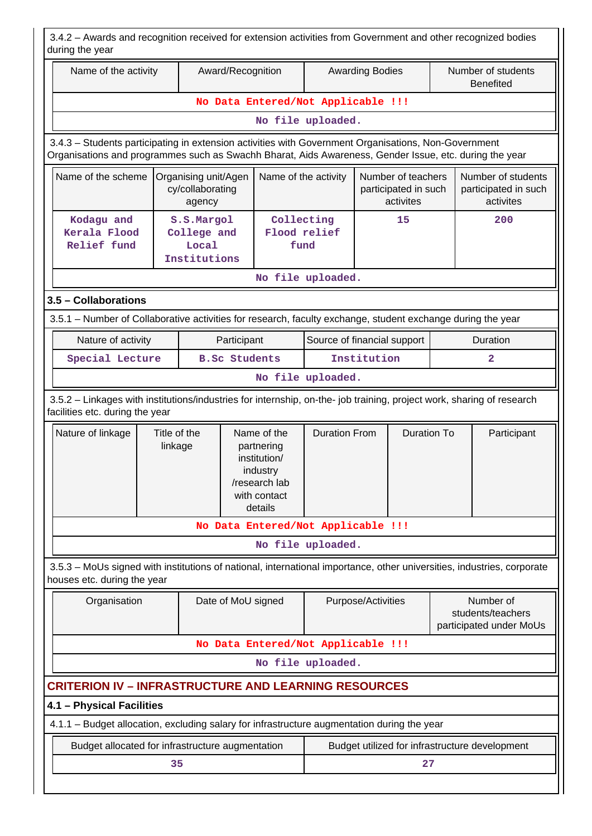| 3.4.2 - Awards and recognition received for extension activities from Government and other recognized bodies<br>during the year                                                                                |                                         |                                                    |                    |                                                                                                   |                                                                                 |                        |                    |                |                                                           |  |
|----------------------------------------------------------------------------------------------------------------------------------------------------------------------------------------------------------------|-----------------------------------------|----------------------------------------------------|--------------------|---------------------------------------------------------------------------------------------------|---------------------------------------------------------------------------------|------------------------|--------------------|----------------|-----------------------------------------------------------|--|
| Name of the activity                                                                                                                                                                                           |                                         |                                                    | Award/Recognition  |                                                                                                   |                                                                                 | <b>Awarding Bodies</b> |                    |                | Number of students<br><b>Benefited</b>                    |  |
|                                                                                                                                                                                                                |                                         |                                                    |                    | No Data Entered/Not Applicable !!!                                                                |                                                                                 |                        |                    |                |                                                           |  |
|                                                                                                                                                                                                                |                                         |                                                    |                    |                                                                                                   | No file uploaded.                                                               |                        |                    |                |                                                           |  |
| 3.4.3 - Students participating in extension activities with Government Organisations, Non-Government<br>Organisations and programmes such as Swachh Bharat, Aids Awareness, Gender Issue, etc. during the year |                                         |                                                    |                    |                                                                                                   |                                                                                 |                        |                    |                |                                                           |  |
| Name of the scheme                                                                                                                                                                                             |                                         | Organising unit/Agen<br>cy/collaborating<br>agency |                    |                                                                                                   | Name of the activity<br>Number of teachers<br>participated in such<br>activites |                        |                    |                | Number of students<br>participated in such<br>activites   |  |
| Kodagu and<br>Kerala Flood<br>Relief fund                                                                                                                                                                      |                                         | S.S.Margol<br>College and<br>Local<br>Institutions |                    | Collecting<br>Flood relief<br>fund                                                                |                                                                                 | 15                     |                    |                | 200                                                       |  |
| No file uploaded.                                                                                                                                                                                              |                                         |                                                    |                    |                                                                                                   |                                                                                 |                        |                    |                |                                                           |  |
| 3.5 - Collaborations                                                                                                                                                                                           |                                         |                                                    |                    |                                                                                                   |                                                                                 |                        |                    |                |                                                           |  |
| 3.5.1 - Number of Collaborative activities for research, faculty exchange, student exchange during the year                                                                                                    |                                         |                                                    |                    |                                                                                                   |                                                                                 |                        |                    |                |                                                           |  |
| Nature of activity                                                                                                                                                                                             |                                         |                                                    | Participant        |                                                                                                   | Source of financial support                                                     |                        |                    | Duration       |                                                           |  |
|                                                                                                                                                                                                                | <b>B.Sc Students</b><br>Special Lecture |                                                    |                    |                                                                                                   | Institution                                                                     |                        |                    | $\overline{a}$ |                                                           |  |
| No file uploaded.                                                                                                                                                                                              |                                         |                                                    |                    |                                                                                                   |                                                                                 |                        |                    |                |                                                           |  |
| 3.5.2 - Linkages with institutions/industries for internship, on-the- job training, project work, sharing of research<br>facilities etc. during the year                                                       |                                         |                                                    |                    |                                                                                                   |                                                                                 |                        |                    |                |                                                           |  |
| Nature of linkage                                                                                                                                                                                              | Title of the<br>linkage                 |                                                    |                    | Name of the<br>partnering<br>institution/<br>industry<br>/research lab<br>with contact<br>details | <b>Duration From</b>                                                            |                        | <b>Duration To</b> |                | Participant                                               |  |
|                                                                                                                                                                                                                |                                         |                                                    |                    | No Data Entered/Not Applicable !!!                                                                |                                                                                 |                        |                    |                |                                                           |  |
|                                                                                                                                                                                                                |                                         |                                                    |                    |                                                                                                   | No file uploaded.                                                               |                        |                    |                |                                                           |  |
| 3.5.3 - MoUs signed with institutions of national, international importance, other universities, industries, corporate<br>houses etc. during the year                                                          |                                         |                                                    |                    |                                                                                                   |                                                                                 |                        |                    |                |                                                           |  |
| Organisation                                                                                                                                                                                                   |                                         |                                                    | Date of MoU signed |                                                                                                   |                                                                                 | Purpose/Activities     |                    |                | Number of<br>students/teachers<br>participated under MoUs |  |
|                                                                                                                                                                                                                |                                         |                                                    |                    | No Data Entered/Not Applicable !!!                                                                |                                                                                 |                        |                    |                |                                                           |  |
|                                                                                                                                                                                                                |                                         |                                                    |                    |                                                                                                   | No file uploaded.                                                               |                        |                    |                |                                                           |  |
| <b>CRITERION IV - INFRASTRUCTURE AND LEARNING RESOURCES</b>                                                                                                                                                    |                                         |                                                    |                    |                                                                                                   |                                                                                 |                        |                    |                |                                                           |  |
| 4.1 - Physical Facilities                                                                                                                                                                                      |                                         |                                                    |                    |                                                                                                   |                                                                                 |                        |                    |                |                                                           |  |
| 4.1.1 – Budget allocation, excluding salary for infrastructure augmentation during the year                                                                                                                    |                                         |                                                    |                    |                                                                                                   |                                                                                 |                        |                    |                |                                                           |  |
| Budget allocated for infrastructure augmentation                                                                                                                                                               |                                         |                                                    |                    |                                                                                                   |                                                                                 |                        |                    |                | Budget utilized for infrastructure development            |  |
|                                                                                                                                                                                                                | 35                                      |                                                    |                    |                                                                                                   |                                                                                 |                        | 27                 |                |                                                           |  |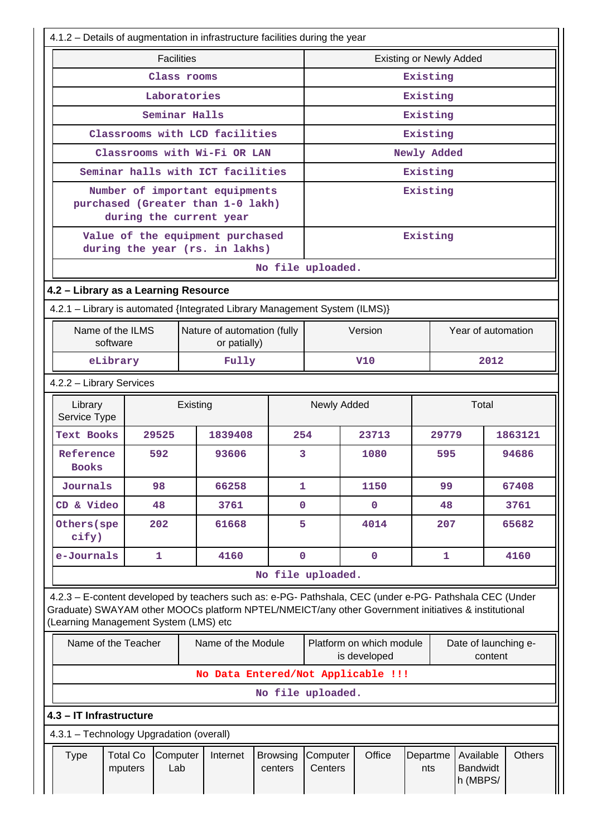| 4.1.2 - Details of augmentation in infrastructure facilities during the year                                                                                                                                                                            |                                                                                                |                   |          |                                   |                            |                     |                                          |                 |              |                                          |         |               |
|---------------------------------------------------------------------------------------------------------------------------------------------------------------------------------------------------------------------------------------------------------|------------------------------------------------------------------------------------------------|-------------------|----------|-----------------------------------|----------------------------|---------------------|------------------------------------------|-----------------|--------------|------------------------------------------|---------|---------------|
|                                                                                                                                                                                                                                                         |                                                                                                | <b>Facilities</b> |          |                                   |                            |                     | <b>Existing or Newly Added</b>           |                 |              |                                          |         |               |
|                                                                                                                                                                                                                                                         |                                                                                                | Class rooms       |          |                                   |                            |                     |                                          | Existing        |              |                                          |         |               |
|                                                                                                                                                                                                                                                         |                                                                                                | Laboratories      |          |                                   |                            |                     |                                          | Existing        |              |                                          |         |               |
|                                                                                                                                                                                                                                                         |                                                                                                | Seminar Halls     |          |                                   |                            |                     |                                          | Existing        |              |                                          |         |               |
|                                                                                                                                                                                                                                                         |                                                                                                |                   |          | Classrooms with LCD facilities    |                            |                     |                                          | Existing        |              |                                          |         |               |
|                                                                                                                                                                                                                                                         |                                                                                                |                   |          | Classrooms with Wi-Fi OR LAN      |                            |                     |                                          | Newly Added     |              |                                          |         |               |
|                                                                                                                                                                                                                                                         |                                                                                                |                   |          | Seminar halls with ICT facilities |                            | Existing            |                                          |                 |              |                                          |         |               |
|                                                                                                                                                                                                                                                         | Number of important equipments<br>purchased (Greater than 1-0 lakh)<br>during the current year |                   |          |                                   |                            |                     |                                          | Existing        |              |                                          |         |               |
|                                                                                                                                                                                                                                                         | Value of the equipment purchased<br>during the year (rs. in lakhs)                             |                   |          |                                   |                            |                     |                                          | Existing        |              |                                          |         |               |
|                                                                                                                                                                                                                                                         |                                                                                                |                   |          |                                   | No file uploaded.          |                     |                                          |                 |              |                                          |         |               |
|                                                                                                                                                                                                                                                         | 4.2 - Library as a Learning Resource                                                           |                   |          |                                   |                            |                     |                                          |                 |              |                                          |         |               |
| 4.2.1 - Library is automated {Integrated Library Management System (ILMS)}                                                                                                                                                                              |                                                                                                |                   |          |                                   |                            |                     |                                          |                 |              |                                          |         |               |
|                                                                                                                                                                                                                                                         | Name of the ILMS<br>Nature of automation (fully<br>software<br>or patially)                    |                   |          |                                   |                            |                     | Version                                  |                 |              | Year of automation                       |         |               |
| eLibrary<br>Fully<br>V10                                                                                                                                                                                                                                |                                                                                                |                   |          |                                   |                            | 2012                |                                          |                 |              |                                          |         |               |
| 4.2.2 - Library Services                                                                                                                                                                                                                                |                                                                                                |                   |          |                                   |                            |                     |                                          |                 |              |                                          |         |               |
| Library<br>Service Type                                                                                                                                                                                                                                 |                                                                                                |                   | Existing |                                   |                            | Newly Added         |                                          |                 |              | Total                                    |         |               |
| <b>Text Books</b>                                                                                                                                                                                                                                       |                                                                                                | 29525             |          | 1839408                           |                            | 254                 | 23713                                    |                 | 29779        |                                          |         | 1863121       |
| Reference<br><b>Books</b>                                                                                                                                                                                                                               |                                                                                                | 592               |          | 93606                             | 3                          |                     | 1080                                     |                 | 595          |                                          |         | 94686         |
| Journals                                                                                                                                                                                                                                                |                                                                                                | 98                |          | 66258                             |                            | 1                   | 1150                                     |                 | 99           |                                          |         | 67408         |
| CD & Video                                                                                                                                                                                                                                              |                                                                                                | 48                |          | 3761                              | 0                          |                     | $\mathbf 0$                              |                 | 48           |                                          |         | 3761          |
| Others (spe<br>cify)                                                                                                                                                                                                                                    |                                                                                                | 202               |          | 61668                             |                            | 5                   | 4014                                     |                 | 207          |                                          |         | 65682         |
| e-Journals                                                                                                                                                                                                                                              |                                                                                                | 1                 |          | 4160                              | $\mathbf 0$                |                     | $\mathbf 0$                              |                 | $\mathbf{1}$ |                                          |         | 4160          |
|                                                                                                                                                                                                                                                         |                                                                                                |                   |          |                                   | No file uploaded.          |                     |                                          |                 |              |                                          |         |               |
| 4.2.3 - E-content developed by teachers such as: e-PG- Pathshala, CEC (under e-PG- Pathshala CEC (Under<br>Graduate) SWAYAM other MOOCs platform NPTEL/NMEICT/any other Government initiatives & institutional<br>(Learning Management System (LMS) etc |                                                                                                |                   |          |                                   |                            |                     |                                          |                 |              |                                          |         |               |
| Name of the Teacher                                                                                                                                                                                                                                     |                                                                                                |                   |          | Name of the Module                |                            |                     | Platform on which module<br>is developed |                 |              | Date of launching e-                     | content |               |
|                                                                                                                                                                                                                                                         |                                                                                                |                   |          |                                   |                            |                     | No Data Entered/Not Applicable !!!       |                 |              |                                          |         |               |
|                                                                                                                                                                                                                                                         |                                                                                                |                   |          |                                   | No file uploaded.          |                     |                                          |                 |              |                                          |         |               |
| 4.3 - IT Infrastructure                                                                                                                                                                                                                                 |                                                                                                |                   |          |                                   |                            |                     |                                          |                 |              |                                          |         |               |
| 4.3.1 - Technology Upgradation (overall)                                                                                                                                                                                                                |                                                                                                |                   |          |                                   |                            |                     |                                          |                 |              |                                          |         |               |
| <b>Type</b>                                                                                                                                                                                                                                             | <b>Total Co</b><br>mputers                                                                     | Computer<br>Lab   |          | Internet                          | <b>Browsing</b><br>centers | Computer<br>Centers | Office                                   | Departme<br>nts |              | Available<br><b>Bandwidt</b><br>h (MBPS/ |         | <b>Others</b> |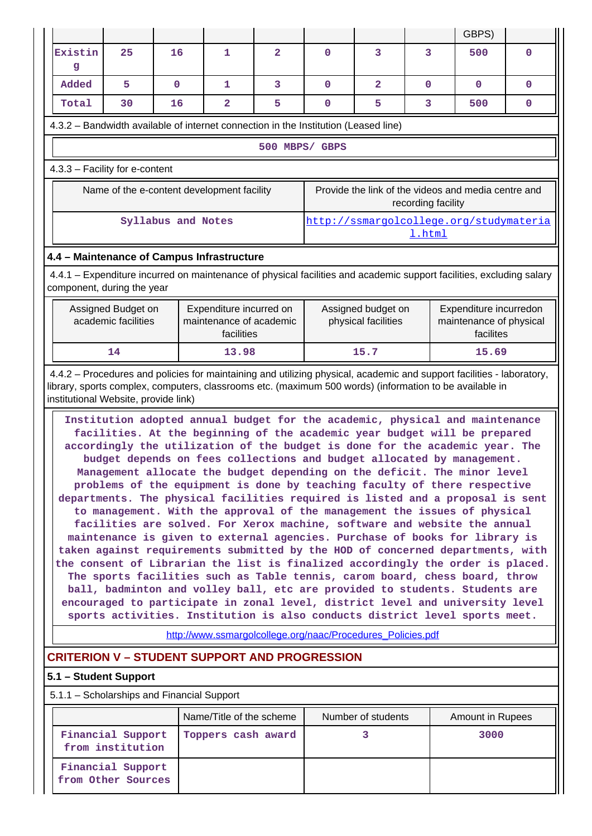|                                                                                                                                                                                                                                                                                                                                                                                                                                                                                                                                                                                                                                                                                                                                                                                                                                                                                                                                                                                |                                                                                                               |                    |                                                             |                |             |                                           |                    | GBPS)                                                                       |              |  |  |
|--------------------------------------------------------------------------------------------------------------------------------------------------------------------------------------------------------------------------------------------------------------------------------------------------------------------------------------------------------------------------------------------------------------------------------------------------------------------------------------------------------------------------------------------------------------------------------------------------------------------------------------------------------------------------------------------------------------------------------------------------------------------------------------------------------------------------------------------------------------------------------------------------------------------------------------------------------------------------------|---------------------------------------------------------------------------------------------------------------|--------------------|-------------------------------------------------------------|----------------|-------------|-------------------------------------------|--------------------|-----------------------------------------------------------------------------|--------------|--|--|
| Existin<br>g                                                                                                                                                                                                                                                                                                                                                                                                                                                                                                                                                                                                                                                                                                                                                                                                                                                                                                                                                                   | 25                                                                                                            | 16                 | 1                                                           | $\overline{2}$ | 0           | 3                                         | $\overline{3}$     | 500                                                                         | 0            |  |  |
| bebbA                                                                                                                                                                                                                                                                                                                                                                                                                                                                                                                                                                                                                                                                                                                                                                                                                                                                                                                                                                          | 5                                                                                                             | $\mathbf 0$        | 1                                                           | 3              | $\mathbf 0$ | $\overline{\mathbf{2}}$                   | $\mathbf{0}$       | $\mathbf{0}$                                                                | $\mathbf{0}$ |  |  |
| Total                                                                                                                                                                                                                                                                                                                                                                                                                                                                                                                                                                                                                                                                                                                                                                                                                                                                                                                                                                          | 30                                                                                                            | 16                 | $\overline{2}$                                              | 5              | $\mathbf 0$ | 5                                         | 3                  | 500                                                                         | $\mathbf 0$  |  |  |
| 4.3.2 - Bandwidth available of internet connection in the Institution (Leased line)                                                                                                                                                                                                                                                                                                                                                                                                                                                                                                                                                                                                                                                                                                                                                                                                                                                                                            |                                                                                                               |                    |                                                             |                |             |                                           |                    |                                                                             |              |  |  |
|                                                                                                                                                                                                                                                                                                                                                                                                                                                                                                                                                                                                                                                                                                                                                                                                                                                                                                                                                                                |                                                                                                               |                    |                                                             | 500 MBPS/ GBPS |             |                                           |                    |                                                                             |              |  |  |
| 4.3.3 - Facility for e-content                                                                                                                                                                                                                                                                                                                                                                                                                                                                                                                                                                                                                                                                                                                                                                                                                                                                                                                                                 |                                                                                                               |                    |                                                             |                |             |                                           |                    |                                                                             |              |  |  |
|                                                                                                                                                                                                                                                                                                                                                                                                                                                                                                                                                                                                                                                                                                                                                                                                                                                                                                                                                                                |                                                                                                               |                    | Name of the e-content development facility                  |                |             |                                           | recording facility | Provide the link of the videos and media centre and                         |              |  |  |
|                                                                                                                                                                                                                                                                                                                                                                                                                                                                                                                                                                                                                                                                                                                                                                                                                                                                                                                                                                                |                                                                                                               | Syllabus and Notes |                                                             |                |             |                                           | 1.html             | http://ssmargolcollege.org/studymateria                                     |              |  |  |
| 4.4 - Maintenance of Campus Infrastructure                                                                                                                                                                                                                                                                                                                                                                                                                                                                                                                                                                                                                                                                                                                                                                                                                                                                                                                                     |                                                                                                               |                    |                                                             |                |             |                                           |                    |                                                                             |              |  |  |
| 4.4.1 - Expenditure incurred on maintenance of physical facilities and academic support facilities, excluding salary<br>component, during the year                                                                                                                                                                                                                                                                                                                                                                                                                                                                                                                                                                                                                                                                                                                                                                                                                             |                                                                                                               |                    |                                                             |                |             |                                           |                    |                                                                             |              |  |  |
|                                                                                                                                                                                                                                                                                                                                                                                                                                                                                                                                                                                                                                                                                                                                                                                                                                                                                                                                                                                | Assigned Budget on<br>Expenditure incurred on<br>academic facilities<br>maintenance of academic<br>facilities |                    |                                                             |                |             | Assigned budget on<br>physical facilities |                    | Expenditure incurredon<br>maintenance of physical<br>facilites              |              |  |  |
|                                                                                                                                                                                                                                                                                                                                                                                                                                                                                                                                                                                                                                                                                                                                                                                                                                                                                                                                                                                | 13.98<br>15.7<br>14<br>15.69                                                                                  |                    |                                                             |                |             |                                           |                    |                                                                             |              |  |  |
| library, sports complex, computers, classrooms etc. (maximum 500 words) (information to be available in<br>institutional Website, provide link)<br>Institution adopted annual budget for the academic, physical and maintenance<br>facilities. At the beginning of the academic year budget will be prepared<br>accordingly the utilization of the budget is done for the academic year. The                                                                                                                                                                                                                                                                                                                                                                                                                                                                                                                                                                                   |                                                                                                               |                    |                                                             |                |             |                                           |                    |                                                                             |              |  |  |
| budget depends on fees collections and budget allocated by management.<br>Management allocate the budget depending on the deficit. The minor level<br>problems of the equipment is done by teaching faculty of there respective<br>departments. The physical facilities required is listed and a proposal is sent<br>to management. With the approval of the management the issues of physical<br>facilities are solved. For Xerox machine, software and website the annual<br>maintenance is given to external agencies. Purchase of books for library is<br>taken against requirements submitted by the HOD of concerned departments, with<br>the consent of Librarian the list is finalized accordingly the order is placed.<br>The sports facilities such as Table tennis, carom board, chess board, throw<br>ball, badminton and volley ball, etc are provided to students. Students are<br>encouraged to participate in zonal level, district level and university level |                                                                                                               |                    |                                                             |                |             |                                           |                    |                                                                             |              |  |  |
|                                                                                                                                                                                                                                                                                                                                                                                                                                                                                                                                                                                                                                                                                                                                                                                                                                                                                                                                                                                |                                                                                                               |                    | http://www.ssmargolcollege.org/naac/Procedures_Policies.pdf |                |             |                                           |                    | sports activities. Institution is also conducts district level sports meet. |              |  |  |
| <b>CRITERION V - STUDENT SUPPORT AND PROGRESSION</b>                                                                                                                                                                                                                                                                                                                                                                                                                                                                                                                                                                                                                                                                                                                                                                                                                                                                                                                           |                                                                                                               |                    |                                                             |                |             |                                           |                    |                                                                             |              |  |  |
| 5.1 - Student Support                                                                                                                                                                                                                                                                                                                                                                                                                                                                                                                                                                                                                                                                                                                                                                                                                                                                                                                                                          |                                                                                                               |                    |                                                             |                |             |                                           |                    |                                                                             |              |  |  |
| 5.1.1 - Scholarships and Financial Support                                                                                                                                                                                                                                                                                                                                                                                                                                                                                                                                                                                                                                                                                                                                                                                                                                                                                                                                     |                                                                                                               |                    |                                                             |                |             |                                           |                    |                                                                             |              |  |  |
|                                                                                                                                                                                                                                                                                                                                                                                                                                                                                                                                                                                                                                                                                                                                                                                                                                                                                                                                                                                |                                                                                                               |                    | Name/Title of the scheme                                    |                |             | Number of students                        |                    | Amount in Rupees                                                            |              |  |  |
|                                                                                                                                                                                                                                                                                                                                                                                                                                                                                                                                                                                                                                                                                                                                                                                                                                                                                                                                                                                | Financial Support<br>from institution                                                                         |                    | Toppers cash award                                          |                |             | 3                                         |                    | 3000                                                                        |              |  |  |
|                                                                                                                                                                                                                                                                                                                                                                                                                                                                                                                                                                                                                                                                                                                                                                                                                                                                                                                                                                                | Financial Support<br>from Other Sources                                                                       |                    |                                                             |                |             |                                           |                    |                                                                             |              |  |  |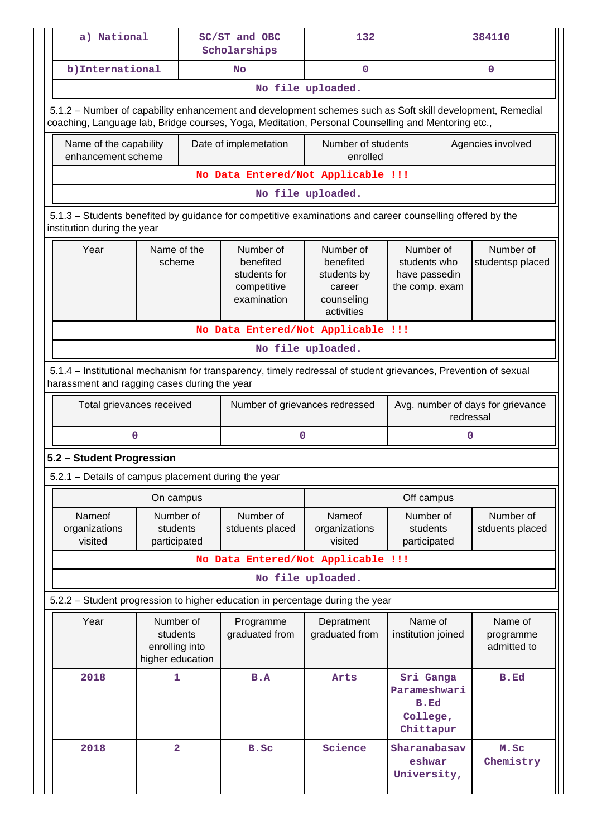|                                                                                                                                          | a) National                                                                                                                                                    |                                                             |  | SC/ST and OBC<br>Scholarships                                                                                                                                                                                   | 132                                                                         |                                                              | 384110 |                                                |  |  |  |  |
|------------------------------------------------------------------------------------------------------------------------------------------|----------------------------------------------------------------------------------------------------------------------------------------------------------------|-------------------------------------------------------------|--|-----------------------------------------------------------------------------------------------------------------------------------------------------------------------------------------------------------------|-----------------------------------------------------------------------------|--------------------------------------------------------------|--------|------------------------------------------------|--|--|--|--|
|                                                                                                                                          | b) International                                                                                                                                               |                                                             |  | No                                                                                                                                                                                                              | $\mathbf 0$                                                                 |                                                              |        | $\mathbf 0$                                    |  |  |  |  |
|                                                                                                                                          |                                                                                                                                                                |                                                             |  |                                                                                                                                                                                                                 | No file uploaded.                                                           |                                                              |        |                                                |  |  |  |  |
|                                                                                                                                          |                                                                                                                                                                |                                                             |  | 5.1.2 - Number of capability enhancement and development schemes such as Soft skill development, Remedial<br>coaching, Language lab, Bridge courses, Yoga, Meditation, Personal Counselling and Mentoring etc., |                                                                             |                                                              |        |                                                |  |  |  |  |
|                                                                                                                                          | Name of the capability<br>enhancement scheme                                                                                                                   |                                                             |  | Date of implemetation                                                                                                                                                                                           | Number of students<br>enrolled                                              |                                                              |        | Agencies involved                              |  |  |  |  |
|                                                                                                                                          |                                                                                                                                                                |                                                             |  | No Data Entered/Not Applicable !!!                                                                                                                                                                              |                                                                             |                                                              |        |                                                |  |  |  |  |
|                                                                                                                                          |                                                                                                                                                                |                                                             |  |                                                                                                                                                                                                                 | No file uploaded.                                                           |                                                              |        |                                                |  |  |  |  |
| 5.1.3 - Students benefited by guidance for competitive examinations and career counselling offered by the<br>institution during the year |                                                                                                                                                                |                                                             |  |                                                                                                                                                                                                                 |                                                                             |                                                              |        |                                                |  |  |  |  |
|                                                                                                                                          | Year<br>Name of the<br>scheme                                                                                                                                  |                                                             |  | Number of<br>benefited<br>students for<br>competitive<br>examination                                                                                                                                            | Number of<br>benefited<br>students by<br>career<br>counseling<br>activities | Number of<br>students who<br>have passedin<br>the comp. exam |        | Number of<br>studentsp placed                  |  |  |  |  |
|                                                                                                                                          | No Data Entered/Not Applicable !!!                                                                                                                             |                                                             |  |                                                                                                                                                                                                                 |                                                                             |                                                              |        |                                                |  |  |  |  |
|                                                                                                                                          | No file uploaded.                                                                                                                                              |                                                             |  |                                                                                                                                                                                                                 |                                                                             |                                                              |        |                                                |  |  |  |  |
|                                                                                                                                          | 5.1.4 – Institutional mechanism for transparency, timely redressal of student grievances, Prevention of sexual<br>harassment and ragging cases during the year |                                                             |  |                                                                                                                                                                                                                 |                                                                             |                                                              |        |                                                |  |  |  |  |
|                                                                                                                                          | Total grievances received                                                                                                                                      |                                                             |  |                                                                                                                                                                                                                 | Number of grievances redressed                                              |                                                              |        | Avg. number of days for grievance<br>redressal |  |  |  |  |
|                                                                                                                                          | 0                                                                                                                                                              |                                                             |  | 0                                                                                                                                                                                                               |                                                                             |                                                              | 0      |                                                |  |  |  |  |
|                                                                                                                                          | 5.2 - Student Progression                                                                                                                                      |                                                             |  |                                                                                                                                                                                                                 |                                                                             |                                                              |        |                                                |  |  |  |  |
|                                                                                                                                          | 5.2.1 – Details of campus placement during the year                                                                                                            |                                                             |  |                                                                                                                                                                                                                 |                                                                             |                                                              |        |                                                |  |  |  |  |
|                                                                                                                                          |                                                                                                                                                                | On campus                                                   |  |                                                                                                                                                                                                                 |                                                                             | Off campus                                                   |        |                                                |  |  |  |  |
|                                                                                                                                          | Nameof<br>organizations<br>visited                                                                                                                             | Number of<br>students<br>participated                       |  | Number of<br>stduents placed                                                                                                                                                                                    | Nameof<br>organizations<br>visited                                          | Number of<br>students<br>participated                        |        | Number of<br>stduents placed                   |  |  |  |  |
|                                                                                                                                          |                                                                                                                                                                |                                                             |  | No Data Entered/Not Applicable !!!                                                                                                                                                                              |                                                                             |                                                              |        |                                                |  |  |  |  |
|                                                                                                                                          |                                                                                                                                                                |                                                             |  |                                                                                                                                                                                                                 | No file uploaded.                                                           |                                                              |        |                                                |  |  |  |  |
|                                                                                                                                          |                                                                                                                                                                |                                                             |  | 5.2.2 - Student progression to higher education in percentage during the year                                                                                                                                   |                                                                             |                                                              |        |                                                |  |  |  |  |
|                                                                                                                                          | Year                                                                                                                                                           | Number of<br>students<br>enrolling into<br>higher education |  | Programme<br>graduated from                                                                                                                                                                                     | Depratment<br>graduated from                                                | Name of<br>institution joined                                |        | Name of<br>programme<br>admitted to            |  |  |  |  |
|                                                                                                                                          | 2018                                                                                                                                                           | 1                                                           |  | B.A                                                                                                                                                                                                             | Arts                                                                        | Sri Ganga<br>Parameshwari<br>B.Ed<br>College,<br>Chittapur   |        | B.Ed                                           |  |  |  |  |
|                                                                                                                                          | 2018                                                                                                                                                           | $\overline{\mathbf{2}}$                                     |  | B.Sc                                                                                                                                                                                                            | Science                                                                     | Sharanabasav<br>eshwar<br>University,                        |        | M.Sc<br>Chemistry                              |  |  |  |  |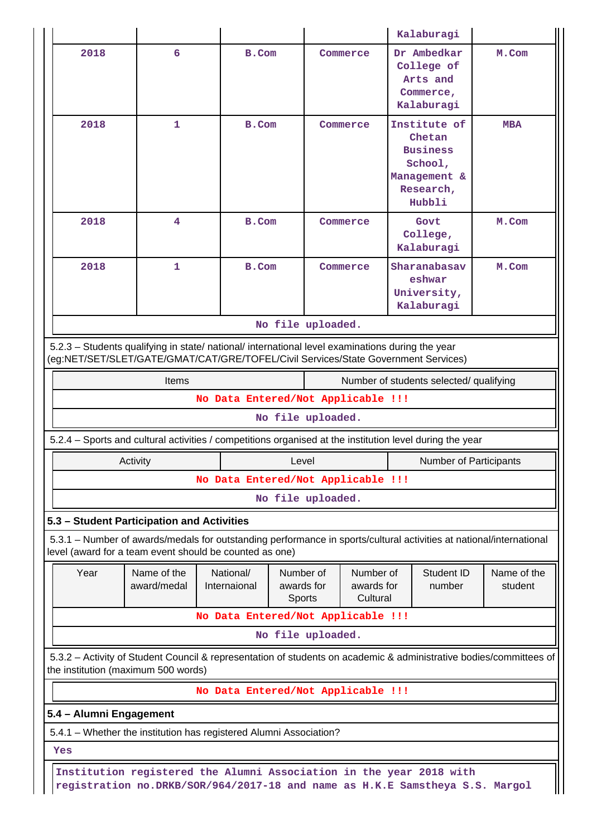|                                                                                                                                                                                        |                                                                                                                                                                                |                                    |                                   |                                     | Kalaburagi                                                                                  |                                                                                                                    |  |  |  |  |  |
|----------------------------------------------------------------------------------------------------------------------------------------------------------------------------------------|--------------------------------------------------------------------------------------------------------------------------------------------------------------------------------|------------------------------------|-----------------------------------|-------------------------------------|---------------------------------------------------------------------------------------------|--------------------------------------------------------------------------------------------------------------------|--|--|--|--|--|
| 2018                                                                                                                                                                                   | 6                                                                                                                                                                              |                                    | B.Com                             | Commerce                            | Dr Ambedkar<br>College of<br>Arts and<br>Commerce,<br>Kalaburagi                            | M.Com                                                                                                              |  |  |  |  |  |
| 2018                                                                                                                                                                                   | 1                                                                                                                                                                              | B.Com                              |                                   | Commerce                            | Institute of<br>Chetan<br><b>Business</b><br>School,<br>Management &<br>Research,<br>Hubbli | <b>MBA</b>                                                                                                         |  |  |  |  |  |
| 2018                                                                                                                                                                                   | 4                                                                                                                                                                              |                                    | B.Com<br>Commerce                 |                                     | Govt<br>College,<br>Kalaburagi                                                              | M.Com                                                                                                              |  |  |  |  |  |
| 2018                                                                                                                                                                                   | 1                                                                                                                                                                              | B.Com                              |                                   | Commerce                            | Sharanabasav<br>eshwar<br>University,<br>Kalaburagi                                         | M.Com                                                                                                              |  |  |  |  |  |
|                                                                                                                                                                                        |                                                                                                                                                                                |                                    | No file uploaded.                 |                                     |                                                                                             |                                                                                                                    |  |  |  |  |  |
| 5.2.3 - Students qualifying in state/ national/ international level examinations during the year<br>(eg:NET/SET/SLET/GATE/GMAT/CAT/GRE/TOFEL/Civil Services/State Government Services) |                                                                                                                                                                                |                                    |                                   |                                     |                                                                                             |                                                                                                                    |  |  |  |  |  |
| <b>Items</b><br>Number of students selected/ qualifying                                                                                                                                |                                                                                                                                                                                |                                    |                                   |                                     |                                                                                             |                                                                                                                    |  |  |  |  |  |
| No Data Entered/Not Applicable !!!                                                                                                                                                     |                                                                                                                                                                                |                                    |                                   |                                     |                                                                                             |                                                                                                                    |  |  |  |  |  |
| No file uploaded.                                                                                                                                                                      |                                                                                                                                                                                |                                    |                                   |                                     |                                                                                             |                                                                                                                    |  |  |  |  |  |
|                                                                                                                                                                                        | 5.2.4 – Sports and cultural activities / competitions organised at the institution level during the year                                                                       |                                    |                                   |                                     |                                                                                             |                                                                                                                    |  |  |  |  |  |
|                                                                                                                                                                                        | Activity                                                                                                                                                                       |                                    | Level                             |                                     |                                                                                             | <b>Number of Participants</b>                                                                                      |  |  |  |  |  |
|                                                                                                                                                                                        |                                                                                                                                                                                | No Data Entered/Not Applicable !!! |                                   |                                     |                                                                                             |                                                                                                                    |  |  |  |  |  |
|                                                                                                                                                                                        |                                                                                                                                                                                |                                    | No file uploaded.                 |                                     |                                                                                             |                                                                                                                    |  |  |  |  |  |
|                                                                                                                                                                                        | 5.3 - Student Participation and Activities                                                                                                                                     |                                    |                                   |                                     |                                                                                             |                                                                                                                    |  |  |  |  |  |
|                                                                                                                                                                                        | 5.3.1 – Number of awards/medals for outstanding performance in sports/cultural activities at national/international<br>level (award for a team event should be counted as one) |                                    |                                   |                                     |                                                                                             |                                                                                                                    |  |  |  |  |  |
| Year                                                                                                                                                                                   | Name of the<br>award/medal                                                                                                                                                     | National/<br>Internaional          | Number of<br>awards for<br>Sports | Number of<br>awards for<br>Cultural | Student ID<br>number                                                                        | Name of the<br>student                                                                                             |  |  |  |  |  |
|                                                                                                                                                                                        |                                                                                                                                                                                | No Data Entered/Not Applicable !!! |                                   |                                     |                                                                                             |                                                                                                                    |  |  |  |  |  |
|                                                                                                                                                                                        |                                                                                                                                                                                |                                    | No file uploaded.                 |                                     |                                                                                             |                                                                                                                    |  |  |  |  |  |
|                                                                                                                                                                                        | the institution (maximum 500 words)                                                                                                                                            |                                    |                                   |                                     |                                                                                             | 5.3.2 - Activity of Student Council & representation of students on academic & administrative bodies/committees of |  |  |  |  |  |
|                                                                                                                                                                                        |                                                                                                                                                                                | No Data Entered/Not Applicable !!! |                                   |                                     |                                                                                             |                                                                                                                    |  |  |  |  |  |
| 5.4 - Alumni Engagement                                                                                                                                                                |                                                                                                                                                                                |                                    |                                   |                                     |                                                                                             |                                                                                                                    |  |  |  |  |  |
|                                                                                                                                                                                        | 5.4.1 - Whether the institution has registered Alumni Association?                                                                                                             |                                    |                                   |                                     |                                                                                             |                                                                                                                    |  |  |  |  |  |
| Yes                                                                                                                                                                                    |                                                                                                                                                                                |                                    |                                   |                                     |                                                                                             |                                                                                                                    |  |  |  |  |  |
|                                                                                                                                                                                        | Institution registered the Alumni Association in the year 2018 with                                                                                                            |                                    |                                   |                                     |                                                                                             |                                                                                                                    |  |  |  |  |  |
|                                                                                                                                                                                        | registration no.DRKB/SOR/964/2017-18 and name as H.K.E Samstheya S.S. Margol                                                                                                   |                                    |                                   |                                     |                                                                                             |                                                                                                                    |  |  |  |  |  |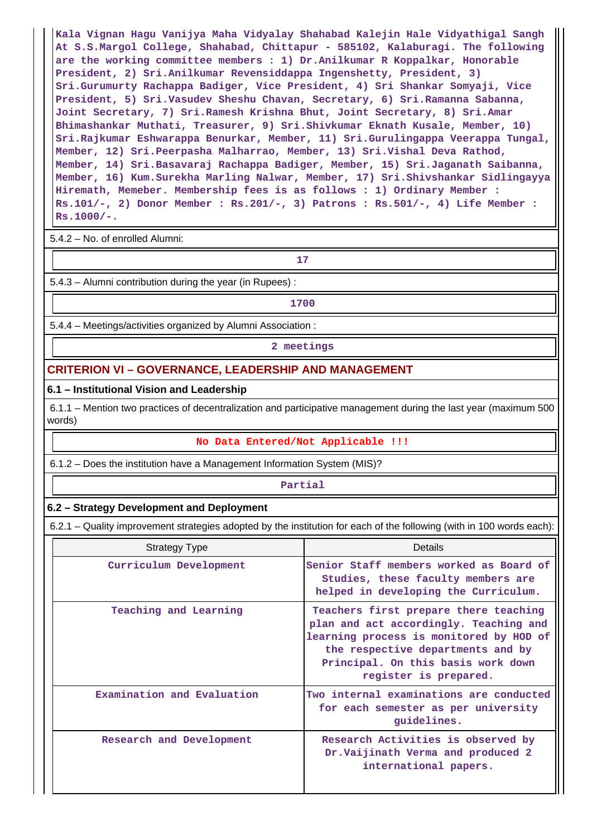**Kala Vignan Hagu Vanijya Maha Vidyalay Shahabad Kalejin Hale Vidyathigal Sangh At S.S.Margol College, Shahabad, Chittapur - 585102, Kalaburagi. The following are the working committee members : 1) Dr.Anilkumar R Koppalkar, Honorable President, 2) Sri.Anilkumar Revensiddappa Ingenshetty, President, 3) Sri.Gurumurty Rachappa Badiger, Vice President, 4) Sri Shankar Somyaji, Vice President, 5) Sri.Vasudev Sheshu Chavan, Secretary, 6) Sri.Ramanna Sabanna, Joint Secretary, 7) Sri.Ramesh Krishna Bhut, Joint Secretary, 8) Sri.Amar Bhimashankar Muthati, Treasurer, 9) Sri.Shivkumar Eknath Kusale, Member, 10) Sri.Rajkumar Eshwarappa Benurkar, Member, 11) Sri.Gurulingappa Veerappa Tungal, Member, 12) Sri.Peerpasha Malharrao, Member, 13) Sri.Vishal Deva Rathod, Member, 14) Sri.Basavaraj Rachappa Badiger, Member, 15) Sri.Jaganath Saibanna, Member, 16) Kum.Surekha Marling Nalwar, Member, 17) Sri.Shivshankar Sidlingayya Hiremath, Memeber. Membership fees is as follows : 1) Ordinary Member : Rs.101/-, 2) Donor Member : Rs.201/-, 3) Patrons : Rs.501/-, 4) Life Member : Rs.1000/-.**

5.4.2 – No. of enrolled Alumni:

**17**

5.4.3 – Alumni contribution during the year (in Rupees) :

**1700**

5.4.4 – Meetings/activities organized by Alumni Association :

**2 meetings**

#### **CRITERION VI – GOVERNANCE, LEADERSHIP AND MANAGEMENT**

#### **6.1 – Institutional Vision and Leadership**

 6.1.1 – Mention two practices of decentralization and participative management during the last year (maximum 500 words)

#### **No Data Entered/Not Applicable !!!**

6.1.2 – Does the institution have a Management Information System (MIS)?

#### **Partial**

#### **6.2 – Strategy Development and Deployment**

6.2.1 – Quality improvement strategies adopted by the institution for each of the following (with in 100 words each):

| <b>Strategy Type</b>       | Details                                                                                                                                                                                                                        |
|----------------------------|--------------------------------------------------------------------------------------------------------------------------------------------------------------------------------------------------------------------------------|
| Curriculum Development     | Senior Staff members worked as Board of<br>Studies, these faculty members are<br>helped in developing the Curriculum.                                                                                                          |
| Teaching and Learning      | Teachers first prepare there teaching<br>plan and act accordingly. Teaching and<br>learning process is monitored by HOD of<br>the respective departments and by<br>Principal. On this basis work down<br>register is prepared. |
| Examination and Evaluation | Two internal examinations are conducted<br>for each semester as per university<br>quidelines.                                                                                                                                  |
| Research and Development   | Research Activities is observed by<br>Dr. Vaijinath Verma and produced 2<br>international papers.                                                                                                                              |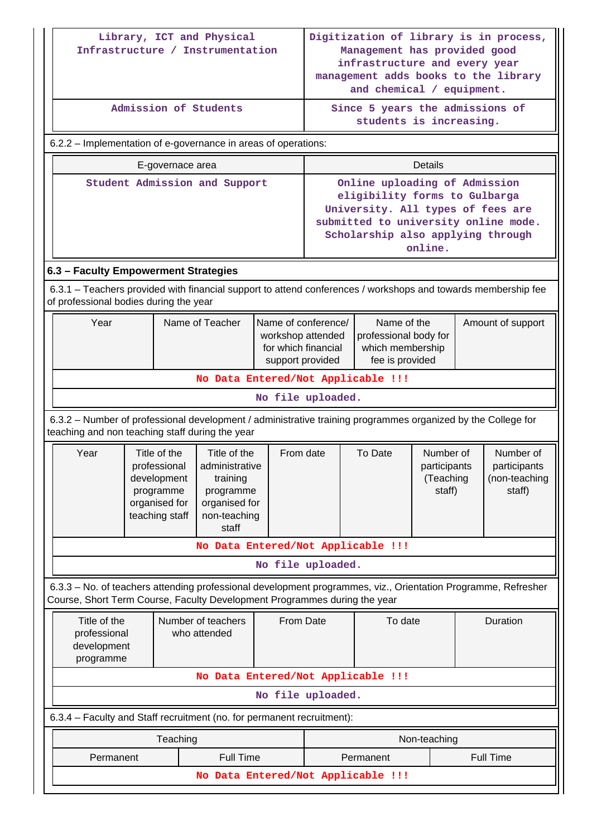|                                                                                                                                                                                            |                                                                                                                                                                 |                                                                                             | Library, ICT and Physical<br>Infrastructure / Instrumentation                                     |                   | Digitization of library is in process,<br>Management has provided good                                                                                             |                                                                                                                                                                                             |                                                  |                   |                                                      |  |
|--------------------------------------------------------------------------------------------------------------------------------------------------------------------------------------------|-----------------------------------------------------------------------------------------------------------------------------------------------------------------|---------------------------------------------------------------------------------------------|---------------------------------------------------------------------------------------------------|-------------------|--------------------------------------------------------------------------------------------------------------------------------------------------------------------|---------------------------------------------------------------------------------------------------------------------------------------------------------------------------------------------|--------------------------------------------------|-------------------|------------------------------------------------------|--|
|                                                                                                                                                                                            |                                                                                                                                                                 |                                                                                             |                                                                                                   |                   | infrastructure and every year<br>management adds books to the library<br>and chemical / equipment.                                                                 |                                                                                                                                                                                             |                                                  |                   |                                                      |  |
|                                                                                                                                                                                            |                                                                                                                                                                 |                                                                                             | Admission of Students                                                                             |                   | Since 5 years the admissions of<br>students is increasing.                                                                                                         |                                                                                                                                                                                             |                                                  |                   |                                                      |  |
| 6.2.2 – Implementation of e-governance in areas of operations:                                                                                                                             |                                                                                                                                                                 |                                                                                             |                                                                                                   |                   |                                                                                                                                                                    |                                                                                                                                                                                             |                                                  |                   |                                                      |  |
|                                                                                                                                                                                            |                                                                                                                                                                 | E-governace area                                                                            |                                                                                                   |                   |                                                                                                                                                                    |                                                                                                                                                                                             | <b>Details</b>                                   |                   |                                                      |  |
|                                                                                                                                                                                            | Student Admission and Support                                                                                                                                   |                                                                                             |                                                                                                   |                   |                                                                                                                                                                    | Online uploading of Admission<br>eligibility forms to Gulbarga<br>University. All types of fees are<br>submitted to university online mode.<br>Scholarship also applying through<br>online. |                                                  |                   |                                                      |  |
| 6.3 - Faculty Empowerment Strategies                                                                                                                                                       |                                                                                                                                                                 |                                                                                             |                                                                                                   |                   |                                                                                                                                                                    |                                                                                                                                                                                             |                                                  |                   |                                                      |  |
| 6.3.1 – Teachers provided with financial support to attend conferences / workshops and towards membership fee<br>of professional bodies during the year                                    |                                                                                                                                                                 |                                                                                             |                                                                                                   |                   |                                                                                                                                                                    |                                                                                                                                                                                             |                                                  |                   |                                                      |  |
| Year                                                                                                                                                                                       | Name of Teacher                                                                                                                                                 |                                                                                             |                                                                                                   |                   | Name of conference/<br>Name of the<br>professional body for<br>workshop attended<br>for which financial<br>which membership<br>fee is provided<br>support provided |                                                                                                                                                                                             |                                                  | Amount of support |                                                      |  |
| No Data Entered/Not Applicable !!!                                                                                                                                                         |                                                                                                                                                                 |                                                                                             |                                                                                                   |                   |                                                                                                                                                                    |                                                                                                                                                                                             |                                                  |                   |                                                      |  |
| No file uploaded.                                                                                                                                                                          |                                                                                                                                                                 |                                                                                             |                                                                                                   |                   |                                                                                                                                                                    |                                                                                                                                                                                             |                                                  |                   |                                                      |  |
|                                                                                                                                                                                            | 6.3.2 - Number of professional development / administrative training programmes organized by the College for<br>teaching and non teaching staff during the year |                                                                                             |                                                                                                   |                   |                                                                                                                                                                    |                                                                                                                                                                                             |                                                  |                   |                                                      |  |
| Year                                                                                                                                                                                       |                                                                                                                                                                 | Title of the<br>professional<br>development<br>programme<br>organised for<br>teaching staff | Title of the<br>administrative<br>training<br>programme<br>organised for<br>non-teaching<br>staff | From date         |                                                                                                                                                                    | To Date                                                                                                                                                                                     | Number of<br>participants<br>(Teaching<br>staff) |                   | Number of<br>participants<br>(non-teaching<br>staff) |  |
|                                                                                                                                                                                            |                                                                                                                                                                 |                                                                                             |                                                                                                   |                   |                                                                                                                                                                    | No Data Entered/Not Applicable !!!                                                                                                                                                          |                                                  |                   |                                                      |  |
|                                                                                                                                                                                            |                                                                                                                                                                 |                                                                                             |                                                                                                   | No file uploaded. |                                                                                                                                                                    |                                                                                                                                                                                             |                                                  |                   |                                                      |  |
| 6.3.3 - No. of teachers attending professional development programmes, viz., Orientation Programme, Refresher<br>Course, Short Term Course, Faculty Development Programmes during the year |                                                                                                                                                                 |                                                                                             |                                                                                                   |                   |                                                                                                                                                                    |                                                                                                                                                                                             |                                                  |                   |                                                      |  |
| Title of the<br>professional<br>development<br>programme                                                                                                                                   |                                                                                                                                                                 |                                                                                             | Number of teachers<br>who attended                                                                | From Date         |                                                                                                                                                                    | To date                                                                                                                                                                                     |                                                  |                   | Duration                                             |  |
|                                                                                                                                                                                            |                                                                                                                                                                 |                                                                                             |                                                                                                   |                   |                                                                                                                                                                    | No Data Entered/Not Applicable !!!                                                                                                                                                          |                                                  |                   |                                                      |  |
|                                                                                                                                                                                            |                                                                                                                                                                 |                                                                                             |                                                                                                   | No file uploaded. |                                                                                                                                                                    |                                                                                                                                                                                             |                                                  |                   |                                                      |  |
| 6.3.4 - Faculty and Staff recruitment (no. for permanent recruitment):                                                                                                                     |                                                                                                                                                                 |                                                                                             |                                                                                                   |                   |                                                                                                                                                                    |                                                                                                                                                                                             |                                                  |                   |                                                      |  |
|                                                                                                                                                                                            |                                                                                                                                                                 | Teaching                                                                                    |                                                                                                   |                   |                                                                                                                                                                    |                                                                                                                                                                                             | Non-teaching                                     |                   |                                                      |  |
| Permanent                                                                                                                                                                                  |                                                                                                                                                                 |                                                                                             | <b>Full Time</b>                                                                                  |                   | <b>Full Time</b><br>Permanent                                                                                                                                      |                                                                                                                                                                                             |                                                  |                   |                                                      |  |
|                                                                                                                                                                                            |                                                                                                                                                                 |                                                                                             |                                                                                                   |                   |                                                                                                                                                                    | No Data Entered/Not Applicable !!!                                                                                                                                                          |                                                  |                   |                                                      |  |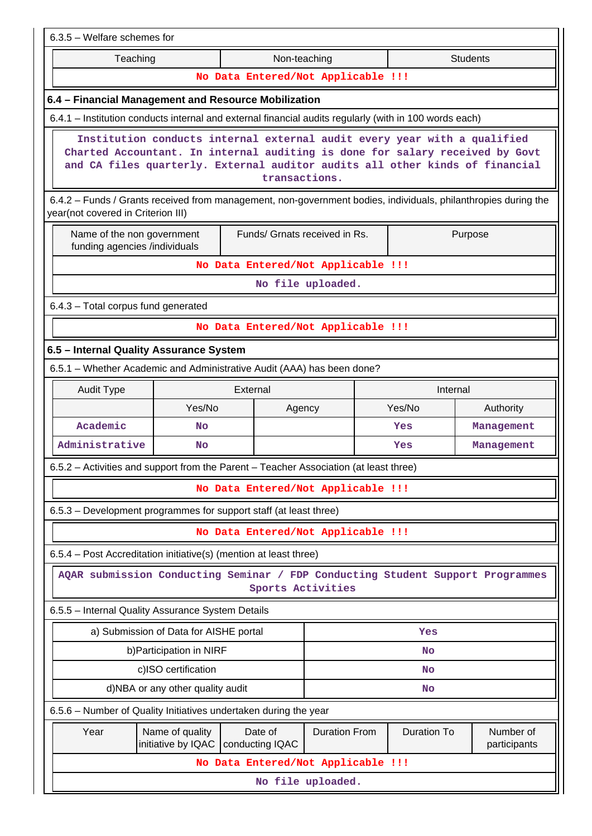| 6.3.5 - Welfare schemes for                                                                                                                          |                                                                                                                                                                                                                                                           |  |                            |                                    |                     |                    |                           |  |  |
|------------------------------------------------------------------------------------------------------------------------------------------------------|-----------------------------------------------------------------------------------------------------------------------------------------------------------------------------------------------------------------------------------------------------------|--|----------------------------|------------------------------------|---------------------|--------------------|---------------------------|--|--|
| Teaching                                                                                                                                             |                                                                                                                                                                                                                                                           |  | Non-teaching               |                                    |                     |                    | <b>Students</b>           |  |  |
|                                                                                                                                                      |                                                                                                                                                                                                                                                           |  |                            | No Data Entered/Not Applicable !!! |                     |                    |                           |  |  |
| 6.4 - Financial Management and Resource Mobilization                                                                                                 |                                                                                                                                                                                                                                                           |  |                            |                                    |                     |                    |                           |  |  |
| 6.4.1 - Institution conducts internal and external financial audits regularly (with in 100 words each)                                               |                                                                                                                                                                                                                                                           |  |                            |                                    |                     |                    |                           |  |  |
|                                                                                                                                                      | Institution conducts internal external audit every year with a qualified<br>Charted Accountant. In internal auditing is done for salary received by Govt<br>and CA files quarterly. External auditor audits all other kinds of financial<br>transactions. |  |                            |                                    |                     |                    |                           |  |  |
| 6.4.2 - Funds / Grants received from management, non-government bodies, individuals, philanthropies during the<br>year(not covered in Criterion III) |                                                                                                                                                                                                                                                           |  |                            |                                    |                     |                    |                           |  |  |
| Name of the non government<br>funding agencies /individuals                                                                                          |                                                                                                                                                                                                                                                           |  |                            | Funds/ Grnats received in Rs.      |                     |                    | Purpose                   |  |  |
|                                                                                                                                                      | No Data Entered/Not Applicable !!!                                                                                                                                                                                                                        |  |                            |                                    |                     |                    |                           |  |  |
|                                                                                                                                                      |                                                                                                                                                                                                                                                           |  |                            | No file uploaded.                  |                     |                    |                           |  |  |
| 6.4.3 - Total corpus fund generated                                                                                                                  |                                                                                                                                                                                                                                                           |  |                            |                                    |                     |                    |                           |  |  |
| No Data Entered/Not Applicable !!!                                                                                                                   |                                                                                                                                                                                                                                                           |  |                            |                                    |                     |                    |                           |  |  |
| 6.5 - Internal Quality Assurance System                                                                                                              |                                                                                                                                                                                                                                                           |  |                            |                                    |                     |                    |                           |  |  |
| 6.5.1 - Whether Academic and Administrative Audit (AAA) has been done?                                                                               |                                                                                                                                                                                                                                                           |  |                            |                                    |                     |                    |                           |  |  |
| <b>Audit Type</b><br>External<br>Internal                                                                                                            |                                                                                                                                                                                                                                                           |  |                            |                                    |                     |                    |                           |  |  |
|                                                                                                                                                      | Yes/No                                                                                                                                                                                                                                                    |  | Agency                     |                                    | Yes/No<br>Authority |                    |                           |  |  |
| Academic                                                                                                                                             | <b>No</b>                                                                                                                                                                                                                                                 |  |                            |                                    |                     | Yes                | Management                |  |  |
| Administrative                                                                                                                                       | No                                                                                                                                                                                                                                                        |  |                            |                                    |                     | Yes                | Management                |  |  |
| 6.5.2 - Activities and support from the Parent - Teacher Association (at least three)                                                                |                                                                                                                                                                                                                                                           |  |                            |                                    |                     |                    |                           |  |  |
|                                                                                                                                                      |                                                                                                                                                                                                                                                           |  |                            | No Data Entered/Not Applicable !!! |                     |                    |                           |  |  |
| 6.5.3 – Development programmes for support staff (at least three)                                                                                    |                                                                                                                                                                                                                                                           |  |                            |                                    |                     |                    |                           |  |  |
|                                                                                                                                                      |                                                                                                                                                                                                                                                           |  |                            | No Data Entered/Not Applicable !!! |                     |                    |                           |  |  |
| 6.5.4 - Post Accreditation initiative(s) (mention at least three)                                                                                    |                                                                                                                                                                                                                                                           |  |                            |                                    |                     |                    |                           |  |  |
| AQAR submission Conducting Seminar / FDP Conducting Student Support Programmes                                                                       |                                                                                                                                                                                                                                                           |  |                            | Sports Activities                  |                     |                    |                           |  |  |
| 6.5.5 - Internal Quality Assurance System Details                                                                                                    |                                                                                                                                                                                                                                                           |  |                            |                                    |                     |                    |                           |  |  |
|                                                                                                                                                      | a) Submission of Data for AISHE portal                                                                                                                                                                                                                    |  |                            |                                    |                     | Yes                |                           |  |  |
|                                                                                                                                                      | b) Participation in NIRF                                                                                                                                                                                                                                  |  |                            |                                    |                     | No                 |                           |  |  |
|                                                                                                                                                      | c)ISO certification                                                                                                                                                                                                                                       |  |                            |                                    |                     | No                 |                           |  |  |
|                                                                                                                                                      | d)NBA or any other quality audit                                                                                                                                                                                                                          |  |                            |                                    |                     | No                 |                           |  |  |
| 6.5.6 - Number of Quality Initiatives undertaken during the year                                                                                     |                                                                                                                                                                                                                                                           |  |                            |                                    |                     |                    |                           |  |  |
| Year                                                                                                                                                 | Name of quality<br>initiative by IQAC                                                                                                                                                                                                                     |  | Date of<br>conducting IQAC | <b>Duration From</b>               |                     | <b>Duration To</b> | Number of<br>participants |  |  |
|                                                                                                                                                      |                                                                                                                                                                                                                                                           |  |                            | No Data Entered/Not Applicable !!! |                     |                    |                           |  |  |
| No file uploaded.                                                                                                                                    |                                                                                                                                                                                                                                                           |  |                            |                                    |                     |                    |                           |  |  |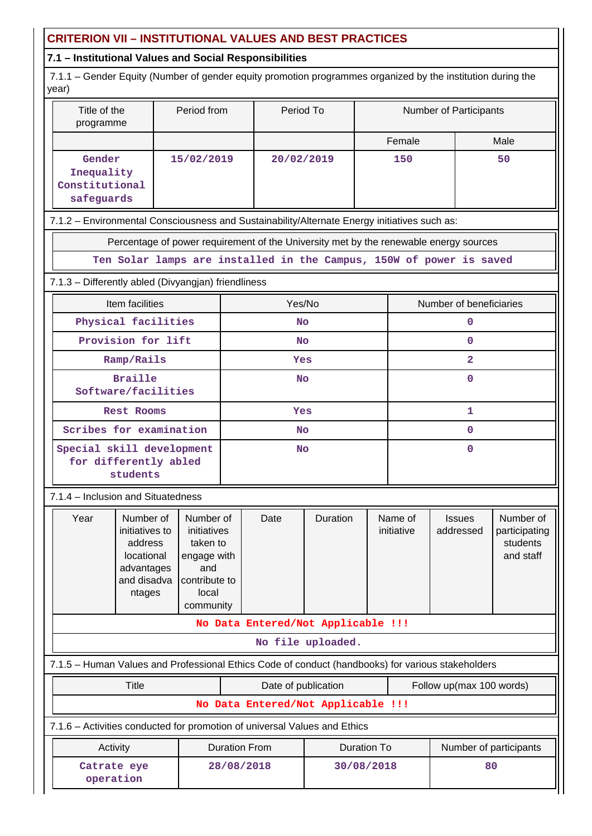## **CRITERION VII – INSTITUTIONAL VALUES AND BEST PRACTICES**

## **7.1 – Institutional Values and Social Responsibilities**

 7.1.1 – Gender Equity (Number of gender equity promotion programmes organized by the institution during the year)

| Title of the<br>programme                                                                           | Period from                                                                                       |                      | Period To           |                                    |                    |                       | Number of Participants     |                                                     |  |  |  |
|-----------------------------------------------------------------------------------------------------|---------------------------------------------------------------------------------------------------|----------------------|---------------------|------------------------------------|--------------------|-----------------------|----------------------------|-----------------------------------------------------|--|--|--|
|                                                                                                     |                                                                                                   |                      |                     |                                    |                    | Female                |                            | Male                                                |  |  |  |
| Gender<br>Inequality<br>Constitutional<br>safeguards                                                | 15/02/2019                                                                                        |                      | 20/02/2019          |                                    |                    | 150                   | 50                         |                                                     |  |  |  |
| 7.1.2 - Environmental Consciousness and Sustainability/Alternate Energy initiatives such as:        |                                                                                                   |                      |                     |                                    |                    |                       |                            |                                                     |  |  |  |
| Percentage of power requirement of the University met by the renewable energy sources               |                                                                                                   |                      |                     |                                    |                    |                       |                            |                                                     |  |  |  |
| Ten Solar lamps are installed in the Campus, 150W of power is saved                                 |                                                                                                   |                      |                     |                                    |                    |                       |                            |                                                     |  |  |  |
| 7.1.3 - Differently abled (Divyangjan) friendliness                                                 |                                                                                                   |                      |                     |                                    |                    |                       |                            |                                                     |  |  |  |
| Item facilities                                                                                     |                                                                                                   | Yes/No               |                     |                                    |                    |                       | Number of beneficiaries    |                                                     |  |  |  |
| Physical facilities                                                                                 |                                                                                                   | <b>No</b>            |                     |                                    |                    |                       | 0                          |                                                     |  |  |  |
| Provision for lift                                                                                  |                                                                                                   |                      | <b>No</b>           |                                    |                    | $\mathbf 0$           |                            |                                                     |  |  |  |
| Ramp/Rails                                                                                          |                                                                                                   |                      | Yes                 |                                    |                    |                       | $\overline{\mathbf{2}}$    |                                                     |  |  |  |
| <b>Braille</b>                                                                                      | Software/facilities                                                                               |                      |                     |                                    |                    | $\mathbf 0$           |                            |                                                     |  |  |  |
| <b>Rest Rooms</b>                                                                                   |                                                                                                   | Yes                  |                     |                                    |                    | 1                     |                            |                                                     |  |  |  |
| Scribes for examination                                                                             |                                                                                                   | <b>No</b>            |                     |                                    |                    | $\mathbf 0$           |                            |                                                     |  |  |  |
| students                                                                                            | Special skill development<br>for differently abled                                                |                      |                     | <b>No</b>                          | $\mathbf 0$        |                       |                            |                                                     |  |  |  |
| 7.1.4 - Inclusion and Situatedness                                                                  |                                                                                                   |                      |                     |                                    |                    |                       |                            |                                                     |  |  |  |
| Number of<br>Year<br>initiatives to<br>address<br>locational<br>advantages<br>and disadva<br>ntages | Number of<br>initiatives<br>taken to<br>engage with<br>and<br>contribute to<br>local<br>community |                      | Date                | Duration                           |                    | Name of<br>initiative | <b>Issues</b><br>addressed | Number of<br>participating<br>students<br>and staff |  |  |  |
|                                                                                                     |                                                                                                   |                      |                     | No Data Entered/Not Applicable !!! |                    |                       |                            |                                                     |  |  |  |
|                                                                                                     |                                                                                                   |                      |                     | No file uploaded.                  |                    |                       |                            |                                                     |  |  |  |
| 7.1.5 - Human Values and Professional Ethics Code of conduct (handbooks) for various stakeholders   |                                                                                                   |                      |                     |                                    |                    |                       |                            |                                                     |  |  |  |
| Title                                                                                               |                                                                                                   |                      | Date of publication |                                    |                    |                       | Follow up(max 100 words)   |                                                     |  |  |  |
|                                                                                                     |                                                                                                   |                      |                     | No Data Entered/Not Applicable !!! |                    |                       |                            |                                                     |  |  |  |
| 7.1.6 - Activities conducted for promotion of universal Values and Ethics                           |                                                                                                   |                      |                     |                                    |                    |                       |                            |                                                     |  |  |  |
| Activity                                                                                            |                                                                                                   | <b>Duration From</b> |                     |                                    | <b>Duration To</b> |                       | Number of participants     |                                                     |  |  |  |
| Catrate eye<br>operation                                                                            |                                                                                                   | 28/08/2018           |                     |                                    | 30/08/2018         |                       |                            | 80                                                  |  |  |  |